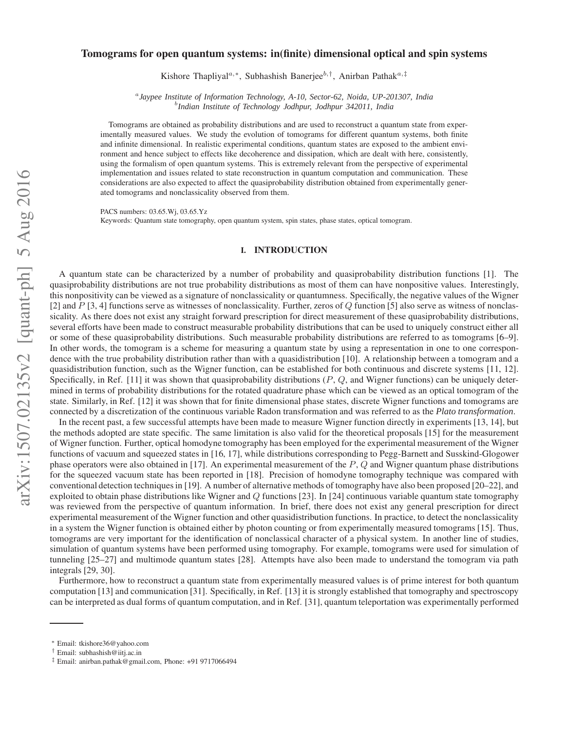# **Tomograms for open quantum systems: in(finite) dimensional optical and spin systems**

Kishore Thapliyal<sup>a,∗</sup>, Subhashish Banerjee<sup>b,†</sup>, Anirban Pathak<sup>a,‡</sup>

a *Jaypee Institute of Information Technology, A-10, Sector-62, Noida, UP-201307, India* b *Indian Institute of Technology Jodhpur, Jodhpur 342011, India*

Tomograms are obtained as probability distributions and are used to reconstruct a quantum state from experimentally measured values. We study the evolution of tomograms for different quantum systems, both finite and infinite dimensional. In realistic experimental conditions, quantum states are exposed to the ambient environment and hence subject to effects like decoherence and dissipation, which are dealt with here, consistently, using the formalism of open quantum systems. This is extremely relevant from the perspective of experimental implementation and issues related to state reconstruction in quantum computation and communication. These considerations are also expected to affect the quasiprobability distribution obtained from experimentally generated tomograms and nonclassicality observed from them.

PACS numbers: 03.65.Wj, 03.65.Yz

Keywords: Quantum state tomography, open quantum system, spin states, phase states, optical tomogram.

## **I. INTRODUCTION**

A quantum state can be characterized by a number of probability and quasiprobability distribution functions [1]. The quasiprobability distributions are not true probability distributions as most of them can have nonpositive values. Interestingly, this nonpositivity can be viewed as a signature of nonclassicality or quantumness. Specifically, the negative values of the Wigner [2] and P [3, 4] functions serve as witnesses of nonclassicality. Further, zeros of Q function [5] also serve as witness of nonclassicality. As there does not exist any straight forward prescription for direct measurement of these quasiprobability distributions, several efforts have been made to construct measurable probability distributions that can be used to uniquely construct either all or some of these quasiprobability distributions. Such measurable probability distributions are referred to as tomograms [6–9]. In other words, the tomogram is a scheme for measuring a quantum state by using a representation in one to one correspondence with the true probability distribution rather than with a quasidistribution [10]. A relationship between a tomogram and a quasidistribution function, such as the Wigner function, can be established for both continuous and discrete systems [11, 12]. Specifically, in Ref.  $[11]$  it was shown that quasiprobability distributions  $(P, Q)$ , and Wigner functions) can be uniquely determined in terms of probability distributions for the rotated quadrature phase which can be viewed as an optical tomogram of the state. Similarly, in Ref. [12] it was shown that for finite dimensional phase states, discrete Wigner functions and tomograms are connected by a discretization of the continuous variable Radon transformation and was referred to as the *Plato transformation*.

In the recent past, a few successful attempts have been made to measure Wigner function directly in experiments [13, 14], but the methods adopted are state specific. The same limitation is also valid for the theoretical proposals [15] for the measurement of Wigner function. Further, optical homodyne tomography has been employed for the experimental measurement of the Wigner functions of vacuum and squeezed states in [16, 17], while distributions corresponding to Pegg-Barnett and Susskind-Glogower phase operators were also obtained in [17]. An experimental measurement of the  $P$ ,  $Q$  and Wigner quantum phase distributions for the squeezed vacuum state has been reported in [18]. Precision of homodyne tomography technique was compared with conventional detection techniques in [19]. A number of alternative methods of tomography have also been proposed [20–22], and exploited to obtain phase distributions like Wigner and  $Q$  functions [23]. In [24] continuous variable quantum state tomography was reviewed from the perspective of quantum information. In brief, there does not exist any general prescription for direct experimental measurement of the Wigner function and other quasidistribution functions. In practice, to detect the nonclassicality in a system the Wigner function is obtained either by photon counting or from experimentally measured tomograms [15]. Thus, tomograms are very important for the identification of nonclassical character of a physical system. In another line of studies, simulation of quantum systems have been performed using tomography. For example, tomograms were used for simulation of tunneling [25–27] and multimode quantum states [28]. Attempts have also been made to understand the tomogram via path integrals [29, 30].

Furthermore, how to reconstruct a quantum state from experimentally measured values is of prime interest for both quantum computation [13] and communication [31]. Specifically, in Ref. [13] it is strongly established that tomography and spectroscopy can be interpreted as dual forms of quantum computation, and in Ref. [31], quantum teleportation was experimentally performed

<sup>∗</sup> Email: tkishore36@yahoo.com

<sup>†</sup> Email: subhashish@iitj.ac.in

<sup>‡</sup> Email: anirban.pathak@gmail.com, Phone: +91 9717066494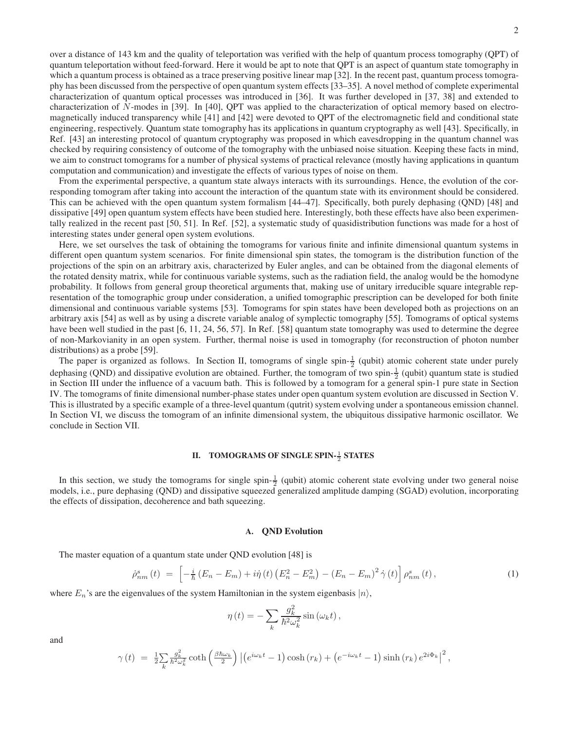2

over a distance of 143 km and the quality of teleportation was verified with the help of quantum process tomography (QPT) of quantum teleportation without feed-forward. Here it would be apt to note that QPT is an aspect of quantum state tomography in which a quantum process is obtained as a trace preserving positive linear map [32]. In the recent past, quantum process tomography has been discussed from the perspective of open quantum system effects [33–35]. A novel method of complete experimental characterization of quantum optical processes was introduced in [36]. It was further developed in [37, 38] and extended to characterization of N-modes in [39]. In [40], QPT was applied to the characterization of optical memory based on electromagnetically induced transparency while [41] and [42] were devoted to QPT of the electromagnetic field and conditional state engineering, respectively. Quantum state tomography has its applications in quantum cryptography as well [43]. Specifically, in Ref. [43] an interesting protocol of quantum cryptography was proposed in which eavesdropping in the quantum channel was checked by requiring consistency of outcome of the tomography with the unbiased noise situation. Keeping these facts in mind, we aim to construct tomograms for a number of physical systems of practical relevance (mostly having applications in quantum computation and communication) and investigate the effects of various types of noise on them.

From the experimental perspective, a quantum state always interacts with its surroundings. Hence, the evolution of the corresponding tomogram after taking into account the interaction of the quantum state with its environment should be considered. This can be achieved with the open quantum system formalism [44–47]. Specifically, both purely dephasing (QND) [48] and dissipative [49] open quantum system effects have been studied here. Interestingly, both these effects have also been experimentally realized in the recent past [50, 51]. In Ref. [52], a systematic study of quasidistribution functions was made for a host of interesting states under general open system evolutions.

Here, we set ourselves the task of obtaining the tomograms for various finite and infinite dimensional quantum systems in different open quantum system scenarios. For finite dimensional spin states, the tomogram is the distribution function of the projections of the spin on an arbitrary axis, characterized by Euler angles, and can be obtained from the diagonal elements of the rotated density matrix, while for continuous variable systems, such as the radiation field, the analog would be the homodyne probability. It follows from general group theoretical arguments that, making use of unitary irreducible square integrable representation of the tomographic group under consideration, a unified tomographic prescription can be developed for both finite dimensional and continuous variable systems [53]. Tomograms for spin states have been developed both as projections on an arbitrary axis [54] as well as by using a discrete variable analog of symplectic tomography [55]. Tomograms of optical systems have been well studied in the past [6, 11, 24, 56, 57]. In Ref. [58] quantum state tomography was used to determine the degree of non-Markovianity in an open system. Further, thermal noise is used in tomography (for reconstruction of photon number distributions) as a probe [59].

The paper is organized as follows. In Section II, tomograms of single spin- $\frac{1}{2}$  (qubit) atomic coherent state under purely dephasing (QND) and dissipative evolution are obtained. Further, the tomogram of two spin- $\frac{1}{2}$  (qubit) quantum state is studied in Section III under the influence of a vacuum bath. This is followed by a tomogram for a general spin-1 pure state in Section IV. The tomograms of finite dimensional number-phase states under open quantum system evolution are discussed in Section V. This is illustrated by a specific example of a three-level quantum (qutrit) system evolving under a spontaneous emission channel. In Section VI, we discuss the tomogram of an infinite dimensional system, the ubiquitous dissipative harmonic oscillator. We conclude in Section VII.

# **II. TOMOGRAMS OF SINGLE SPIN-** $\frac{1}{2}$  **STATES**

In this section, we study the tomograms for single spin- $\frac{1}{2}$  (qubit) atomic coherent state evolving under two general noise models, i.e., pure dephasing (QND) and dissipative squeezed generalized amplitude damping (SGAD) evolution, incorporating the effects of dissipation, decoherence and bath squeezing.

## **A. QND Evolution**

The master equation of a quantum state under QND evolution [48] is

$$
\dot{\rho}_{nm}^{s}(t) = \left[ -\frac{i}{\hbar} \left( E_n - E_m \right) + i \dot{\eta} \left( t \right) \left( E_n^2 - E_m^2 \right) - \left( E_n - E_m \right)^2 \dot{\gamma} \left( t \right) \right] \rho_{nm}^{s}(t) , \tag{1}
$$

where  $E_n$ 's are the eigenvalues of the system Hamiltonian in the system eigenbasis  $|n\rangle$ ,

$$
\eta(t) = -\sum_{k} \frac{g_k^2}{\hbar^2 \omega_k^2} \sin(\omega_k t),
$$

and

$$
\gamma(t) = \frac{1}{2} \sum_{k} \frac{g_k^2}{\hbar^2 \omega_k^2} \coth\left(\frac{\beta \hbar \omega_k}{2}\right) \left| \left(e^{i\omega_k t} - 1\right) \cosh\left(r_k\right) + \left(e^{-i\omega_k t} - 1\right) \sinh\left(r_k\right) e^{2i\Phi_k} \right|^2,
$$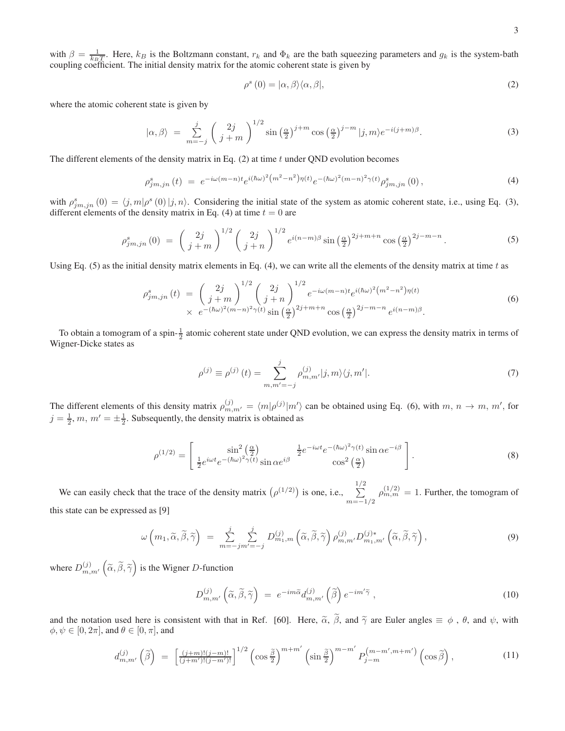with  $\beta = \frac{1}{k_B T}$ . Here,  $k_B$  is the Boltzmann constant,  $r_k$  and  $\Phi_k$  are the bath squeezing parameters and  $g_k$  is the system-bath coupling coefficient. The initial density matrix for the atomic coherent state is given by

$$
\rho^s(0) = |\alpha, \beta\rangle \langle \alpha, \beta|,\tag{2}
$$

where the atomic coherent state is given by

$$
|\alpha,\beta\rangle = \sum_{m=-j}^{j} \left(\frac{2j}{j+m}\right)^{1/2} \sin\left(\frac{\alpha}{2}\right)^{j+m} \cos\left(\frac{\alpha}{2}\right)^{j-m} |j,m\rangle e^{-i(j+m)\beta}.
$$
 (3)

The different elements of the density matrix in Eq.  $(2)$  at time t under QND evolution becomes

$$
\rho_{jm,jn}^s(t) = e^{-i\omega(m-n)t}e^{i(\hbar\omega)^2(m^2-n^2)\eta(t)}e^{-(\hbar\omega)^2(m-n)^2\gamma(t)}\rho_{jm,jn}^s(0),\tag{4}
$$

with  $\rho_{jm,jn}^s(0) = \langle j,m|\rho^s(0)|j,n\rangle$ . Considering the initial state of the system as atomic coherent state, i.e., using Eq. (3), different elements of the density matrix in Eq. (4) at time  $t = 0$  are

$$
\rho_{jm,jn}^s(0) = \left(\frac{2j}{j+m}\right)^{1/2} \left(\frac{2j}{j+n}\right)^{1/2} e^{i(n-m)\beta} \sin\left(\frac{\alpha}{2}\right)^{2j+m+n} \cos\left(\frac{\alpha}{2}\right)^{2j-m-n}.\tag{5}
$$

Using Eq. (5) as the initial density matrix elements in Eq. (4), we can write all the elements of the density matrix at time t as

$$
\rho_{jm,jn}^s(t) = \left(\frac{2j}{j+m}\right)^{1/2} \left(\frac{2j}{j+n}\right)^{1/2} e^{-i\omega(m-n)t} e^{i(\hbar\omega)^2(m^2-n^2)\eta(t)} \times e^{-(\hbar\omega)^2(m-n)^2\gamma(t)} \sin\left(\frac{\alpha}{2}\right)^{2j+m+n} \cos\left(\frac{\alpha}{2}\right)^{2j-m-n} e^{i(n-m)\beta}.
$$
\n(6)

To obtain a tomogram of a spin- $\frac{1}{2}$  atomic coherent state under QND evolution, we can express the density matrix in terms of Wigner-Dicke states as

$$
\rho^{(j)} \equiv \rho^{(j)}(t) = \sum_{m,m'=-j}^{j} \rho^{(j)}_{m,m'} |j,m\rangle \langle j,m'|.
$$
\n(7)

The different elements of this density matrix  $\rho_{m,m'}^{(j)} = \langle m|\rho^{(j)}|m'\rangle$  can be obtained using Eq. (6), with  $m, n \to m, m'$ , for  $j = \frac{1}{2}$ ,  $m$ ,  $m' = \pm \frac{1}{2}$ . Subsequently, the density matrix is obtained as

$$
\rho^{(1/2)} = \begin{bmatrix} \sin^2\left(\frac{\alpha}{2}\right) & \frac{1}{2}e^{-i\omega t}e^{-(\hbar\omega)^2\gamma(t)}\sin\alpha e^{-i\beta} \\ \frac{1}{2}e^{i\omega t}e^{-(\hbar\omega)^2\gamma(t)}\sin\alpha e^{i\beta} & \cos^2\left(\frac{\alpha}{2}\right) \end{bmatrix}.
$$
\n(8)

We can easily check that the trace of the density matrix  $(\rho^{(1/2)})$  is one, i.e.,  $\sum_{ }^{1/2}$  $m=-1/2$  $\rho_{m,m}^{(1/2)} = 1$ . Further, the tomogram of this state can be expressed as [9]

$$
\omega\left(m_1, \widetilde{\alpha}, \widetilde{\beta}, \widetilde{\gamma}\right) \; = \; \sum_{m=-j}^{j} \sum_{m'=-j}^{j} D_{m_1,m}^{(j)}\left(\widetilde{\alpha}, \widetilde{\beta}, \widetilde{\gamma}\right) \rho_{m,m'}^{(j)} D_{m_1,m'}^{(j)*}\left(\widetilde{\alpha}, \widetilde{\beta}, \widetilde{\gamma}\right),\tag{9}
$$

where  $D_{m,m'}^{(j)}\left(\tilde{\alpha},\tilde{\beta},\tilde{\gamma}\right)$  is the Wigner D-function

$$
D_{m,m'}^{(j)}\left(\tilde{\alpha},\tilde{\beta},\tilde{\gamma}\right) = e^{-im\tilde{\alpha}}d_{m,m'}^{(j)}\left(\tilde{\beta}\right)e^{-im'\tilde{\gamma}},\qquad(10)
$$

and the notation used here is consistent with that in Ref. [60]. Here,  $\tilde{\alpha}$ ,  $\tilde{\beta}$ , and  $\tilde{\gamma}$  are Euler angles  $\equiv \phi$ ,  $\theta$ , and  $\psi$ , with  $\phi, \psi \in [0, 2\pi]$ , and  $\theta \in [0, \pi]$ , and

$$
d_{m,m'}^{(j)}\left(\tilde{\beta}\right) = \left[\frac{(j+m)!(j-m)!}{(j+m')!(j-m')!}\right]^{1/2}\left(\cos\frac{\tilde{\beta}}{2}\right)^{m+m'}\left(\sin\frac{\tilde{\beta}}{2}\right)^{m-m'}P_{j-m}^{(m-m',m+m')}\left(\cos\tilde{\beta}\right),\tag{11}
$$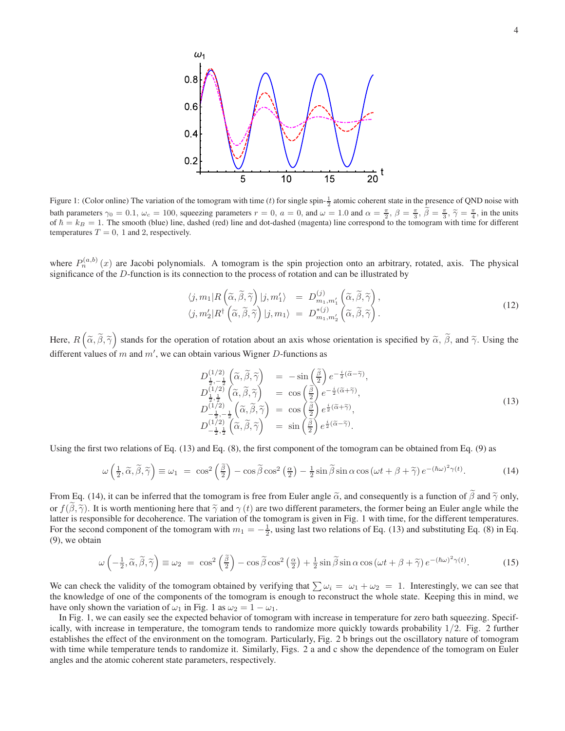

Figure 1: (Color online) The variation of the tomogram with time (*t*) for single spin- $\frac{1}{2}$  atomic coherent state in the presence of QND noise with bath parameters  $\gamma_0 = 0.1$ ,  $\omega_c = 100$ , squeezing parameters  $r = 0$ ,  $a = 0$ , and  $\omega = 1.0$  and  $\alpha = \frac{\pi}{2}$ ,  $\beta = \frac{\pi}{3}$ ,  $\beta = \frac{\pi}{3}$ ,  $\beta = \frac{\pi}{3}$ ,  $\gamma = \frac{\pi}{4}$ , in the units of  $\hbar = k_B = 1$ . The smooth (blue) line, dashed (red) line and dot-dashed (magenta) line correspond to the tomogram with time for different temperatures  $T = 0$ , 1 and 2, respectively.

where  $P_n^{(a,b)}(x)$  are Jacobi polynomials. A tomogram is the spin projection onto an arbitrary, rotated, axis. The physical significance of the  $D$ -function is its connection to the process of rotation and can be illustrated by

$$
\langle j, m_1 | R\left(\tilde{\alpha}, \tilde{\beta}, \tilde{\gamma}\right) | j, m'_1 \rangle = D_{m_1, m'_1}^{(j)} \left(\tilde{\alpha}, \tilde{\beta}, \tilde{\gamma}\right), \langle j, m'_2 | R^\dagger \left(\tilde{\alpha}, \tilde{\beta}, \tilde{\gamma}\right) | j, m_1 \rangle = D_{m_1, m'_2}^{*(j)} \left(\tilde{\alpha}, \tilde{\beta}, \tilde{\gamma}\right).
$$
\n(12)

Here,  $R\left(\tilde{\alpha}, \tilde{\beta}, \tilde{\gamma}\right)$  stands for the operation of rotation about an axis whose orientation is specified by  $\tilde{\alpha}$ ,  $\tilde{\beta}$ , and  $\tilde{\gamma}$ . Using the different values of m and  $m'$ , we can obtain various Wigner D-functions as

$$
D_{\frac{1}{2},-\frac{1}{2}}^{(1/2)}\left(\tilde{\alpha},\tilde{\beta},\tilde{\gamma}\right) = -\sin\left(\frac{\tilde{\beta}}{2}\right)e^{-\frac{i}{2}(\tilde{\alpha}-\tilde{\gamma})},
$$
\n
$$
D_{\frac{1}{2},\frac{1}{2}}^{(1/2)}\left(\tilde{\alpha},\tilde{\beta},\tilde{\gamma}\right) = \cos\left(\frac{\tilde{\beta}}{2}\right)e^{-\frac{i}{2}(\tilde{\alpha}+\tilde{\gamma})},
$$
\n
$$
D_{-\frac{1}{2},-\frac{1}{2}}^{(1/2)}\left(\tilde{\alpha},\tilde{\beta},\tilde{\gamma}\right) = \cos\left(\frac{\tilde{\beta}}{2}\right)e^{\frac{i}{2}(\tilde{\alpha}+\tilde{\gamma})},
$$
\n
$$
D_{-\frac{1}{2},\frac{1}{2}}^{(1/2)}\left(\tilde{\alpha},\tilde{\beta},\tilde{\gamma}\right) = \sin\left(\frac{\tilde{\beta}}{2}\right)e^{\frac{i}{2}(\tilde{\alpha}-\tilde{\gamma})}.
$$
\n(13)

Using the first two relations of Eq.  $(13)$  and Eq.  $(8)$ , the first component of the tomogram can be obtained from Eq.  $(9)$  as

$$
\omega\left(\frac{1}{2},\widetilde{\alpha},\widetilde{\beta},\widetilde{\gamma}\right) \equiv \omega_1 = \cos^2\left(\frac{\widetilde{\beta}}{2}\right) - \cos\widetilde{\beta}\cos^2\left(\frac{\alpha}{2}\right) - \frac{1}{2}\sin\widetilde{\beta}\sin\alpha\cos\left(\omega t + \beta + \widetilde{\gamma}\right)e^{-\left(\hbar\omega\right)^2\gamma\left(t\right)}.\tag{14}
$$

From Eq. (14), it can be inferred that the tomogram is free from Euler angle  $\tilde{\alpha}$ , and consequently is a function of  $\tilde{\beta}$  and  $\tilde{\gamma}$  only, or  $f(\beta, \tilde{\gamma})$ . It is worth mentioning here that  $\tilde{\gamma}$  and  $\gamma(t)$  are two different parameters, the former being an Euler angle while the latter is responsible for decoherence. The variation of the tomogram is given in Fig. 1 with time, for the different temperatures. For the second component of the tomogram with  $m_1 = -\frac{1}{2}$ , using last two relations of Eq. (13) and substituting Eq. (8) in Eq. (9), we obtain

$$
\omega\left(-\frac{1}{2},\widetilde{\alpha},\widetilde{\beta},\widetilde{\gamma}\right) \equiv \omega_2 = \cos^2\left(\frac{\widetilde{\beta}}{2}\right) - \cos\widetilde{\beta}\cos^2\left(\frac{\alpha}{2}\right) + \frac{1}{2}\sin\widetilde{\beta}\sin\alpha\cos\left(\omega t + \beta + \widetilde{\gamma}\right)e^{-(\hbar\omega)^2\gamma(t)}.\tag{15}
$$

We can check the validity of the tomogram obtained by verifying that  $\sum \omega_i = \omega_1 + \omega_2 = 1$ . Interestingly, we can see that the knowledge of one of the components of the tomogram is enough to reconstruct the whole state. Keeping this in mind, we have only shown the variation of  $\omega_1$  in Fig. 1 as  $\omega_2 = 1 - \omega_1$ .

In Fig. 1, we can easily see the expected behavior of tomogram with increase in temperature for zero bath squeezing. Specifically, with increase in temperature, the tomogram tends to randomize more quickly towards probability 1/2. Fig. 2 further establishes the effect of the environment on the tomogram. Particularly, Fig. 2 b brings out the oscillatory nature of tomogram with time while temperature tends to randomize it. Similarly, Figs. 2 a and c show the dependence of the tomogram on Euler angles and the atomic coherent state parameters, respectively.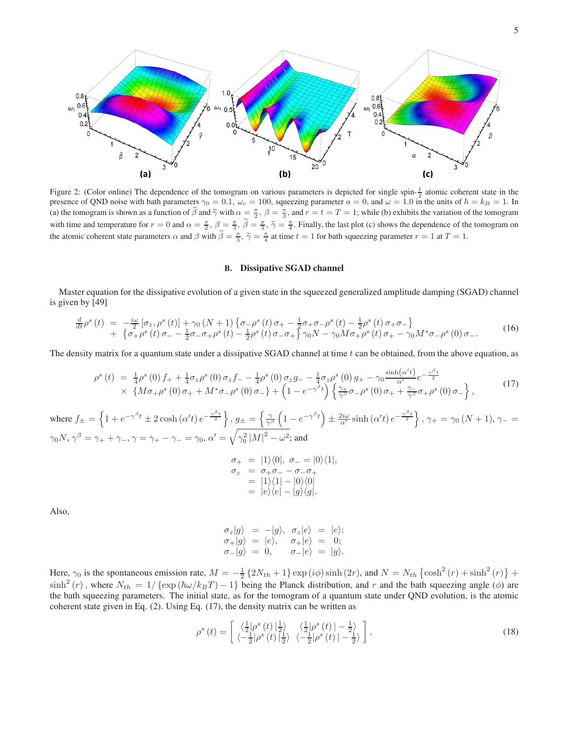

Figure 2: (Color online) The dependence of the tomogram on various parameters is depicted for single spin- $\frac{1}{2}$  atomic coherent state in the presence of QND noise with bath parameters  $\gamma_0 = 0.1$ ,  $\omega_c = 100$ , squeezing parameter  $a = 0$ , and  $\omega = 1.0$  in the units of  $\hbar = k_B = 1$ . In (a) the tomogram is shown as a function of  $\tilde{\beta}$  and  $\tilde{\gamma}$  with  $\alpha = \frac{\pi}{2}$ ,  $\beta = \frac{\pi}{3}$ , and  $r = t = T = 1$ ; while (b) exhibits the variation of the tomogram with time and temperature for  $r = 0$  and  $\alpha = \frac{\pi}{2}$ ,  $\beta = \frac{\pi}{3}$ ,  $\widetilde{\beta} = \frac{\pi}{3}$ ,  $\widetilde{\gamma} = \frac{\pi}{4}$ . Finally, the last plot (c) shows the dependence of the tomogram on the atomic coherent state parameters  $\alpha$  and  $\beta$  with  $\tilde{\beta} = \frac{\pi}{3}$ ,  $\tilde{\gamma} = \frac{\pi}{4}$  at time  $t = 1$  for bath squeezing parameter  $r = 1$  at  $T = 1$ .

# **B. Dissipative SGAD channel**

Master equation for the dissipative evolution of a given state in the squeezed generalized amplitude damping (SGAD) channel is given by [49]

$$
\frac{d}{dt}\rho^{s}(t) = -\frac{i\omega}{2}\left[\sigma_{z},\rho^{s}(t)\right] + \gamma_{0}\left(N+1\right)\left\{\sigma_{-}\rho^{s}(t)\sigma_{+} - \frac{1}{2}\sigma_{+}\sigma_{-}\rho^{s}(t) - \frac{1}{2}\rho^{s}(t)\sigma_{+}\sigma_{-}\right\} \n+ \left\{\sigma_{+}\rho^{s}(t)\sigma_{-} - \frac{1}{2}\sigma_{-}\sigma_{+}\rho^{s}(t) - \frac{1}{2}\rho^{s}(t)\sigma_{-}\sigma_{+}\right\}\gamma_{0}N - \gamma_{0}M\sigma_{+}\rho^{s}(t)\sigma_{+} - \gamma_{0}M^{*}\sigma_{-}\rho^{s}(0)\sigma_{-}.
$$
\n(16)

The density matrix for a quantum state under a dissipative  $SGAD$  channel at time t can be obtained, from the above equation, as

$$
\rho^{s}(t) = \frac{1}{4}\rho^{s}(0)f_{+} + \frac{1}{4}\sigma_{z}\rho^{s}(0)\sigma_{z}f_{-} - \frac{1}{4}\rho^{s}(0)\sigma_{z}g_{-} - \frac{1}{4}\sigma_{z}\rho^{s}(0)g_{+} - \gamma_{0}\frac{\sinh(\alpha' t)}{\alpha'}e^{-\frac{\gamma\beta_{t}}{2}} \\
\times \{M\sigma_{+}\rho^{s}(0)\sigma_{+} + M^{*}\sigma_{-}\rho^{s}(0)\sigma_{-}\} + \left(1 - e^{-\gamma\beta t}\right)\left\{\frac{\gamma_{+}}{\gamma^{\beta}}\sigma_{-}\rho^{s}(0)\sigma_{+} + \frac{\gamma_{-}}{\gamma^{\beta}}\sigma_{+}\rho^{s}(0)\sigma_{-}\right\},
$$
\n(17)

where  $f_{\pm} = \left\{1 + e^{-\gamma^{\beta}t} \pm 2\cosh(\alpha' t) e^{-\frac{\gamma^{\beta}t}{2}}\right\}$ ,  $g_{\pm} = \left\{\frac{\gamma}{\gamma^{\beta}}\right\}$  $\left(1-e^{-\gamma^{\beta}t}\right)$  $\pm \frac{2i\omega}{\alpha'} \sinh(\alpha' t) e^{-\frac{\gamma \beta_t}{2}}$ ,  $\gamma_+ = \gamma_0 (N+1)$ ,  $\gamma_- =$  $\gamma_0 N, \, \gamma^\beta=\gamma_++\gamma_-, \, \gamma=\gamma_+-\gamma_-=\gamma_0, \, \alpha'=\sqrt{\gamma_0^2\,|M|^2-\omega^2};$  and

$$
\begin{array}{rcl}\n\sigma_+ &=& |1\rangle\langle 0|, \ \sigma_- = |0\rangle\langle 1|, \\
\sigma_z &=& \sigma_+ \sigma_- - \sigma_- \sigma_+ \\
&=& |1\rangle\langle 1| - |0\rangle\langle 0| \\
&=& |e\rangle\langle e| - |g\rangle\langle g|. \n\end{array}
$$

Also,

$$
\begin{array}{rcl}\n\sigma_z|g\rangle &= -|g\rangle, & \sigma_z|e\rangle &= |e\rangle; \\
\sigma_+|g\rangle &= |e\rangle, & \sigma_+|e\rangle &= 0; \\
\sigma_-|g\rangle &= 0, & \sigma_-|e\rangle &= |g\rangle.\n\end{array}
$$

Here,  $\gamma_0$  is the spontaneous emission rate,  $M = -\frac{1}{2} \{ 2N_{th} + 1 \} \exp(i\phi) \sinh(2r)$ , and  $N = N_{th} \{ \cosh^2(r) + \sinh^2(r) \}$  +  $\sinh^2(r)$ , where  $N_{th} = 1/\{\exp(\hbar\omega/k_BT) - 1\}$  being the Planck distribution, and r and the bath squeezing angle ( $\phi$ ) are the bath squeezing parameters. The initial state, as for the tomogram of a quantum state under QND evolution, is the atomic coherent state given in Eq. (2). Using Eq. (17), the density matrix can be written as

$$
\rho^{s}\left(t\right) = \begin{bmatrix} \left\langle \frac{1}{2} \left| \rho^{s}\left(t\right) \right| \frac{1}{2} \right\rangle & \left\langle \frac{1}{2} \left| \rho^{s}\left(t\right) \right| - \frac{1}{2} \right\rangle\\ \left\langle -\frac{1}{2} \left| \rho^{s}\left(t\right) \right| \frac{1}{2} \right\rangle & \left\langle -\frac{1}{2} \left| \rho^{s}\left(t\right) \right| - \frac{1}{2} \right\rangle \end{bmatrix},\tag{18}
$$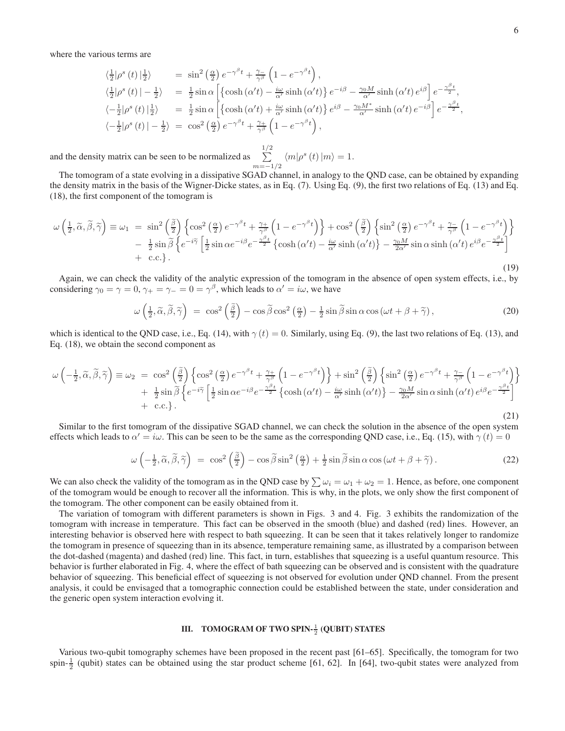where the various terms are

$$
\langle \frac{1}{2} | \rho^{s}(t) | \frac{1}{2} \rangle = \sin^{2} \left( \frac{\alpha}{2} \right) e^{-\gamma^{\beta} t} + \frac{\gamma}{\gamma^{\beta}} \left( 1 - e^{-\gamma^{\beta} t} \right),
$$
  
\n
$$
\langle \frac{1}{2} | \rho^{s}(t) | - \frac{1}{2} \rangle = \frac{1}{2} \sin \alpha \left[ \left\{ \cosh (\alpha' t) - \frac{i\omega}{\alpha'} \sinh (\alpha' t) \right\} e^{-i\beta} - \frac{\gamma_{0} M}{\alpha'} \sinh (\alpha' t) e^{i\beta} \right] e^{-\frac{\gamma^{\beta} t}{2}},
$$
  
\n
$$
\langle - \frac{1}{2} | \rho^{s}(t) | \frac{1}{2} \rangle = \frac{1}{2} \sin \alpha \left[ \left\{ \cosh (\alpha' t) + \frac{i\omega}{\alpha'} \sinh (\alpha' t) \right\} e^{i\beta} - \frac{\gamma_{0} M^{*}}{\alpha'} \sinh (\alpha' t) e^{-i\beta} \right] e^{-\frac{\gamma^{\beta} t}{2}},
$$
  
\n
$$
\langle - \frac{1}{2} | \rho^{s}(t) | - \frac{1}{2} \rangle = \cos^{2} \left( \frac{\alpha}{2} \right) e^{-\gamma^{\beta} t} + \frac{\gamma_{+}}{\gamma^{\beta}} \left( 1 - e^{-\gamma^{\beta} t} \right),
$$

and the density matrix can be seen to be normalized as  $\sum_{n=1}^{1/2}$  $\sum_{m=-1/2}^{\infty} \langle m|\rho^{s}(t)|m\rangle = 1.$ 

The tomogram of a state evolving in a dissipative SGAD channel, in analogy to the QND case, can be obtained by expanding the density matrix in the basis of the Wigner-Dicke states, as in Eq. (7). Using Eq. (9), the first two relations of Eq. (13) and Eq. (18), the first component of the tomogram is

$$
\omega\left(\frac{1}{2}, \widetilde{\alpha}, \widetilde{\beta}, \widetilde{\gamma}\right) \equiv \omega_1 = \sin^2\left(\frac{\widetilde{\beta}}{2}\right) \left\{ \cos^2\left(\frac{\alpha}{2}\right) e^{-\gamma^{\beta}t} + \frac{\gamma_+}{\gamma^{\beta}} \left(1 - e^{-\gamma^{\beta}t}\right) \right\} + \cos^2\left(\frac{\widetilde{\beta}}{2}\right) \left\{ \sin^2\left(\frac{\alpha}{2}\right) e^{-\gamma^{\beta}t} + \frac{\gamma_-}{\gamma^{\beta}} \left(1 - e^{-\gamma^{\beta}t}\right) \right\} \n- \frac{1}{2} \sin \widetilde{\beta} \left\{ e^{-i\widetilde{\gamma}} \left[ \frac{1}{2} \sin \alpha e^{-i\beta} e^{-\frac{\gamma^{\beta}t}{2}} \left\{ \cosh\left(\alpha^{\prime}t\right) - \frac{i\omega}{\alpha^{\prime}} \sinh\left(\alpha^{\prime}t\right) \right\} - \frac{\gamma_0 M}{2\alpha^{\prime}} \sin \alpha \sinh\left(\alpha^{\prime}t\right) e^{i\beta} e^{-\frac{\gamma^{\beta}t}{2}} \right] \n+ c.c. \right\}.
$$
\n(19)

Again, we can check the validity of the analytic expression of the tomogram in the absence of open system effects, i.e., by considering  $\gamma_0 = \gamma = 0$ ,  $\gamma_+ = \gamma_- = 0 = \gamma^\beta$ , which leads to  $\alpha' = i\omega$ , we have

$$
\omega\left(\frac{1}{2},\widetilde{\alpha},\widetilde{\beta},\widetilde{\gamma}\right) \;=\; \cos^2\left(\frac{\widetilde{\beta}}{2}\right) - \cos\widetilde{\beta}\cos^2\left(\frac{\alpha}{2}\right) - \frac{1}{2}\sin\widetilde{\beta}\sin\alpha\cos\left(\omega t + \beta + \widetilde{\gamma}\right),\tag{20}
$$

which is identical to the QND case, i.e., Eq. (14), with  $\gamma(t) = 0$ . Similarly, using Eq. (9), the last two relations of Eq. (13), and Eq. (18), we obtain the second component as

$$
\omega \left( -\frac{1}{2}, \widetilde{\alpha}, \widetilde{\beta}, \widetilde{\gamma} \right) \equiv \omega_2 = \cos^2 \left( \frac{\widetilde{\beta}}{2} \right) \left\{ \cos^2 \left( \frac{\alpha}{2} \right) e^{-\gamma^{\beta} t} + \frac{\gamma_+}{\gamma^{\beta}} \left( 1 - e^{-\gamma^{\beta} t} \right) \right\} + \sin^2 \left( \frac{\widetilde{\beta}}{2} \right) \left\{ \sin^2 \left( \frac{\alpha}{2} \right) e^{-\gamma^{\beta} t} + \frac{\gamma_-}{\gamma^{\beta}} \left( 1 - e^{-\gamma^{\beta} t} \right) \right\} + \frac{1}{2} \sin \widetilde{\beta} \left\{ e^{-i \widetilde{\gamma}} \left[ \frac{1}{2} \sin \alpha e^{-i \beta} e^{-\frac{\gamma^{\beta} t}{2}} \left\{ \cosh \left( \alpha' t \right) - \frac{i \omega}{\alpha'} \sinh \left( \alpha' t \right) \right\} - \frac{\gamma_0 M}{2 \alpha'} \sin \alpha \sinh \left( \alpha' t \right) e^{i \beta} e^{-\frac{\gamma^{\beta} t}{2}} \right] + \text{ c.c.} \right\}.
$$
\n(21)

Similar to the first tomogram of the dissipative SGAD channel, we can check the solution in the absence of the open system effects which leads to  $\alpha' = i\omega$ . This can be seen to be the same as the corresponding QND case, i.e., Eq. (15), with  $\gamma(t) = 0$ 

$$
\omega\left(-\frac{1}{2},\widetilde{\alpha},\widetilde{\beta},\widetilde{\gamma}\right) \;=\; \cos^2\left(\frac{\widetilde{\beta}}{2}\right) - \cos\widetilde{\beta}\sin^2\left(\frac{\alpha}{2}\right) + \frac{1}{2}\sin\widetilde{\beta}\sin\alpha\cos\left(\omega t + \beta + \widetilde{\gamma}\right). \tag{22}
$$

We can also check the validity of the tomogram as in the QND case by  $\sum \omega_i = \omega_1 + \omega_2 = 1$ . Hence, as before, one component of the tomogram would be enough to recover all the information. This is why, in the plots, we only show the first component of the tomogram. The other component can be easily obtained from it.

The variation of tomogram with different parameters is shown in Figs. 3 and 4. Fig. 3 exhibits the randomization of the tomogram with increase in temperature. This fact can be observed in the smooth (blue) and dashed (red) lines. However, an interesting behavior is observed here with respect to bath squeezing. It can be seen that it takes relatively longer to randomize the tomogram in presence of squeezing than in its absence, temperature remaining same, as illustrated by a comparison between the dot-dashed (magenta) and dashed (red) line. This fact, in turn, establishes that squeezing is a useful quantum resource. This behavior is further elaborated in Fig. 4, where the effect of bath squeezing can be observed and is consistent with the quadrature behavior of squeezing. This beneficial effect of squeezing is not observed for evolution under QND channel. From the present analysis, it could be envisaged that a tomographic connection could be established between the state, under consideration and the generic open system interaction evolving it.

# **III. TOMOGRAM OF TWO SPIN-** $\frac{1}{2}$  **(QUBIT) STATES**

Various two-qubit tomography schemes have been proposed in the recent past [61–65]. Specifically, the tomogram for two spin- $\frac{1}{2}$  (qubit) states can be obtained using the star product scheme [61, 62]. In [64], two-qubit states were analyzed from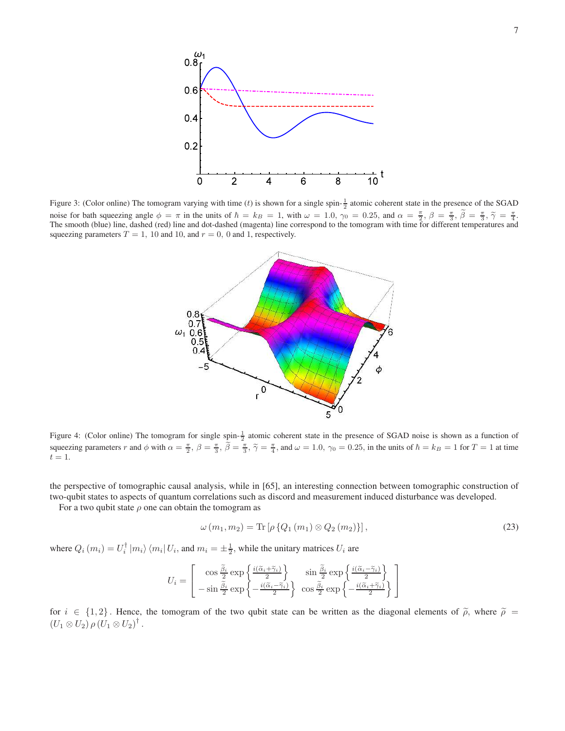

Figure 3: (Color online) The tomogram varying with time (t) is shown for a single spin- $\frac{1}{2}$  atomic coherent state in the presence of the SGAD noise for bath squeezing angle  $\phi = \pi$  in the units of  $\hbar = k_B = 1$ , with  $\omega = 1.0$ ,  $\gamma_0 = 0.25$ , and  $\alpha = \frac{\pi}{2}$ ,  $\beta = \frac{\pi}{3}$ ,  $\tilde{\beta} = \frac{\pi}{3}$ ,  $\tilde{\gamma} = \frac{\pi}{4}$ . The smooth (blue) line, dashed (red) line and dot-dashed (magenta) line correspond to the tomogram with time for different temperatures and squeezing parameters  $T = 1$ , 10 and 10, and  $r = 0$ , 0 and 1, respectively.



Figure 4: (Color online) The tomogram for single spin- $\frac{1}{2}$  atomic coherent state in the presence of SGAD noise is shown as a function of squeezing parameters r and  $\phi$  with  $\alpha = \frac{\pi}{2}$ ,  $\beta = \frac{\pi}{3}$ ,  $\tilde{\beta} = \frac{\pi}{3}$ ,  $\tilde{\gamma} = \frac{\pi}{4}$ , and  $\omega = 1.0$ ,  $\gamma_0 = 0.25$ , in the units of  $\hbar = k_B = 1$  for  $T = 1$  at time  $t=1$ .

the perspective of tomographic causal analysis, while in [65], an interesting connection between tomographic construction of two-qubit states to aspects of quantum correlations such as discord and measurement induced disturbance was developed.

For a two qubit state  $\rho$  one can obtain the tomogram as

$$
\omega (m_1, m_2) = \text{Tr} \left[ \rho \left\{ Q_1 \left( m_1 \right) \otimes Q_2 \left( m_2 \right) \right\} \right],\tag{23}
$$

where  $Q_i(m_i) = U_i^{\dagger} |m_i\rangle \langle m_i | U_i$ , and  $m_i = \pm \frac{1}{2}$ , while the unitary matrices  $U_i$  are

$$
U_i = \begin{bmatrix} \cos\frac{\tilde{\beta}_i}{2} \exp\left\{\frac{i(\tilde{\alpha}_i + \tilde{\gamma}_i)}{2}\right\} & \sin\frac{\tilde{\beta}_i}{2} \exp\left\{\frac{i(\tilde{\alpha}_i - \tilde{\gamma}_i)}{2}\right\} \\ -\sin\frac{\tilde{\beta}_i}{2} \exp\left\{-\frac{i(\tilde{\alpha}_i - \tilde{\gamma}_i)}{2}\right\} & \cos\frac{\tilde{\beta}_i}{2} \exp\left\{-\frac{i(\tilde{\alpha}_i + \tilde{\gamma}_i)}{2}\right\} \end{bmatrix}
$$

for  $i \in \{1,2\}$ . Hence, the tomogram of the two qubit state can be written as the diagonal elements of  $\tilde{\rho}$ , where  $\tilde{\rho} =$  $(U_1 \otimes U_2) \, \rho \, (U_1 \otimes U_2)^{\dagger}$ .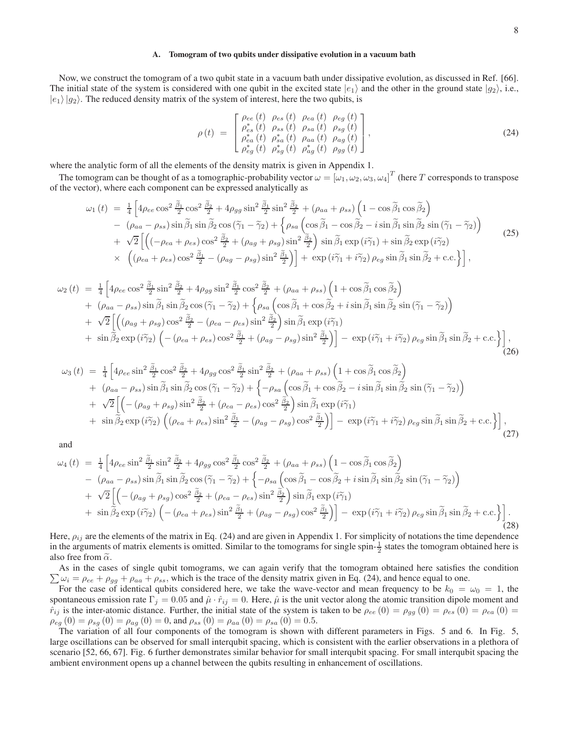#### **A. Tomogram of two qubits under dissipative evolution in a vacuum bath**

Now, we construct the tomogram of a two qubit state in a vacuum bath under dissipative evolution, as discussed in Ref. [66]. The initial state of the system is considered with one qubit in the excited state  $|e_1\rangle$  and the other in the ground state  $|g_2\rangle$ , i.e.,  $|e_1\rangle |g_2\rangle$ . The reduced density matrix of the system of interest, here the two qubits, is

$$
\rho(t) = \begin{bmatrix}\n\rho_{ee}(t) & \rho_{es}(t) & \rho_{ea}(t) & \rho_{eg}(t) \\
\rho_{es}^*(t) & \rho_{ss}(t) & \rho_{sa}(t) & \rho_{sg}(t) \\
\rho_{ea}^*(t) & \rho_{sa}^*(t) & \rho_{aa}(t) & \rho_{ag}(t) \\
\rho_{eg}^*(t) & \rho_{sg}^*(t) & \rho_{ag}^*(t) & \rho_{gg}(t)\n\end{bmatrix},
$$
\n(24)

where the analytic form of all the elements of the density matrix is given in Appendix 1.

The tomogram can be thought of as a tomographic-probability vector  $\omega=[\omega_1,\omega_2,\omega_3,\omega_4]^T$  (here  $T$  corresponds to transpose of the vector), where each component can be expressed analytically as

$$
\omega_{1}(t) = \frac{1}{4} \left[ 4\rho_{ee} \cos^{2} \frac{\tilde{\beta}_{1}}{2} \cos^{2} \frac{\tilde{\beta}_{2}}{2} + 4\rho_{gg} \sin^{2} \frac{\tilde{\beta}_{1}}{2} \sin^{2} \frac{\tilde{\beta}_{2}}{2} + (\rho_{aa} + \rho_{ss}) \left( 1 - \cos \tilde{\beta}_{1} \cos \tilde{\beta}_{2} \right) \right] \n- (\rho_{aa} - \rho_{ss}) \sin \tilde{\beta}_{1} \sin \tilde{\beta}_{2} \cos (\tilde{\gamma}_{1} - \tilde{\gamma}_{2}) + \left\{ \rho_{sa} \left( \cos \tilde{\beta}_{1} - \cos \tilde{\beta}_{2} - i \sin \tilde{\beta}_{1} \sin \tilde{\beta}_{2} \sin (\tilde{\gamma}_{1} - \tilde{\gamma}_{2}) \right) \right. \n+ \sqrt{2} \left[ \left( (-\rho_{ea} + \rho_{es}) \cos^{2} \frac{\tilde{\beta}_{2}}{2} + (\rho_{ag} + \rho_{sg}) \sin^{2} \frac{\tilde{\beta}_{2}}{2} \right) \sin \tilde{\beta}_{1} \exp (i\tilde{\gamma}_{1}) + \sin \tilde{\beta}_{2} \exp (i\tilde{\gamma}_{2}) \right] \n\times \left( (\rho_{ea} + \rho_{es}) \cos^{2} \frac{\tilde{\beta}_{1}}{2} - (\rho_{ag} - \rho_{sg}) \sin^{2} \frac{\tilde{\beta}_{1}}{2} \right) \right] + \exp (i\tilde{\gamma}_{1} + i\tilde{\gamma}_{2}) \rho_{eg} \sin \tilde{\beta}_{1} \sin \tilde{\beta}_{2} + c.c. \right],
$$
\n(25)

$$
\omega_2(t) = \frac{1}{4} \left[ 4\rho_{ee} \cos^2 \frac{\tilde{\beta}_1}{2} \sin^2 \frac{\tilde{\beta}_2}{2} + 4\rho_{gg} \sin^2 \frac{\tilde{\beta}_1}{2} \cos^2 \frac{\tilde{\beta}_2}{2} + (\rho_{aa} + \rho_{ss}) \left( 1 + \cos \tilde{\beta}_1 \cos \tilde{\beta}_2 \right) \right] + (\rho_{aa} - \rho_{ss}) \sin \tilde{\beta}_1 \sin \tilde{\beta}_2 \cos (\tilde{\gamma}_1 - \tilde{\gamma}_2) + \left\{ \rho_{sa} \left( \cos \tilde{\beta}_1 + \cos \tilde{\beta}_2 + i \sin \tilde{\beta}_1 \sin \tilde{\beta}_2 \sin (\tilde{\gamma}_1 - \tilde{\gamma}_2) \right) \right. + \sqrt{2} \left[ \left( (\rho_{ag} + \rho_{sg}) \cos^2 \frac{\tilde{\beta}_2}{2} - (\rho_{ea} - \rho_{es}) \sin^2 \frac{\tilde{\beta}_2}{2} \right) \sin \tilde{\beta}_1 \exp (i \tilde{\gamma}_1) \right. + \sin \tilde{\beta}_2 \exp (i \tilde{\gamma}_2) \left( -(\rho_{ea} + \rho_{es}) \cos^2 \frac{\tilde{\beta}_1}{2} + (\rho_{ag} - \rho_{sg}) \sin^2 \frac{\tilde{\beta}_1}{2} \right) \right] - \exp (i \tilde{\gamma}_1 + i \tilde{\gamma}_2) \rho_{eg} \sin \tilde{\beta}_1 \sin \tilde{\beta}_2 + c.c. \right],
$$
(26)

$$
\omega_{3}(t) = \frac{1}{4} \left[ 4\rho_{ee} \sin^{2} \frac{\tilde{\beta}_{1}}{2} \cos^{2} \frac{\tilde{\beta}_{2}}{2} + 4\rho_{gg} \cos^{2} \frac{\tilde{\beta}_{1}}{2} \sin^{2} \frac{\tilde{\beta}_{2}}{2} + (\rho_{aa} + \rho_{ss}) \left( 1 + \cos \tilde{\beta}_{1} \cos \tilde{\beta}_{2} \right) \right] + (\rho_{aa} - \rho_{ss}) \sin \tilde{\beta}_{1} \sin \tilde{\beta}_{2} \cos (\tilde{\gamma}_{1} - \tilde{\gamma}_{2}) + \left\{ -\rho_{sa} \left( \cos \tilde{\beta}_{1} + \cos \tilde{\beta}_{2} - i \sin \tilde{\beta}_{1} \sin \tilde{\beta}_{2} \sin (\tilde{\gamma}_{1} - \tilde{\gamma}_{2}) \right) \right. + \sqrt{2} \left[ \left( -(\rho_{ag} + \rho_{sg}) \sin^{2} \frac{\tilde{\beta}_{2}}{2} + (\rho_{ea} - \rho_{es}) \cos^{2} \frac{\tilde{\beta}_{2}}{2} \right) \sin \tilde{\beta}_{1} \exp (i\tilde{\gamma}_{1}) \right] + \sin \tilde{\beta}_{2} \exp (i\tilde{\gamma}_{2}) \left( (\rho_{ea} + \rho_{es}) \sin^{2} \frac{\tilde{\beta}_{1}}{2} - (\rho_{ag} - \rho_{sg}) \cos^{2} \frac{\tilde{\beta}_{1}}{2} \right) \right] - \exp (i\tilde{\gamma}_{1} + i\tilde{\gamma}_{2}) \rho_{eg} \sin \tilde{\beta}_{1} \sin \tilde{\beta}_{2} + c.c. \right],
$$
(27)

and

$$
\omega_{4}(t) = \frac{1}{4} \left[ 4\rho_{ee} \sin^{2} \frac{\tilde{\beta}_{1}}{2} \sin^{2} \frac{\tilde{\beta}_{2}}{2} + 4\rho_{gg} \cos^{2} \frac{\tilde{\beta}_{1}}{2} \cos^{2} \frac{\tilde{\beta}_{2}}{2} + (\rho_{aa} + \rho_{ss}) \left( 1 - \cos \tilde{\beta}_{1} \cos \tilde{\beta}_{2} \right) \right] \n- (\rho_{aa} - \rho_{ss}) \sin \tilde{\beta}_{1} \sin \tilde{\beta}_{2} \cos (\tilde{\gamma}_{1} - \tilde{\gamma}_{2}) + \left\{ -\rho_{sa} \left( \cos \tilde{\beta}_{1} - \cos \tilde{\beta}_{2} + i \sin \tilde{\beta}_{1} \sin \tilde{\beta}_{2} \sin (\tilde{\gamma}_{1} - \tilde{\gamma}_{2}) \right) \right. \n+ \sqrt{2} \left[ \left( -(\rho_{ag} + \rho_{sg}) \cos^{2} \frac{\tilde{\beta}_{2}}{2} + (\rho_{ea} - \rho_{es}) \sin^{2} \frac{\tilde{\beta}_{2}}{2} \right) \sin \tilde{\beta}_{1} \exp (i\tilde{\gamma}_{1}) \right] \n+ \sin \tilde{\beta}_{2} \exp (i\tilde{\gamma}_{2}) \left( -(\rho_{ea} + \rho_{es}) \sin^{2} \frac{\tilde{\beta}_{1}}{2} + (\rho_{ag} - \rho_{sg}) \cos^{2} \frac{\tilde{\beta}_{1}}{2} \right) \right] - \exp (i\tilde{\gamma}_{1} + i\tilde{\gamma}_{2}) \rho_{eg} \sin \tilde{\beta}_{1} \sin \tilde{\beta}_{2} + c.c. \right].
$$
\n(28)

Here,  $\rho_{ij}$  are the elements of the matrix in Eq. (24) and are given in Appendix 1. For simplicity of notations the time dependence in the arguments of matrix elements is omitted. Similar to the tomograms for single spin- $\frac{1}{2}$  states the tomogram obtained here is also free from  $\tilde{\alpha}$ .

 $\sum \omega_i = \rho_{ee} + \rho_{gg} + \rho_{aa} + \rho_{ss}$ , which is the trace of the density matrix given in Eq. (24), and hence equal to one. As in the cases of single qubit tomograms, we can again verify that the tomogram obtained here satisfies the condition

For the case of identical qubits considered here, we take the wave-vector and mean frequency to be  $k_0 = \omega_0 = 1$ , the spontaneous emission rate  $\Gamma_j = 0.05$  and  $\hat{\mu} \cdot \hat{r}_{ij} = 0$ . Here,  $\hat{\mu}$  is the unit vector along the atomic transition dipole moment and  $\hat{r}_{ij}$  is the inter-atomic distance. Further, the initial state of the system is taken to be  $\rho_{ee}(0) = \rho_{gg}(0) = \rho_{es}(0) = \rho_{ea}(0)$  $\rho_{eg}(0) = \rho_{sg}(0) = \rho_{ag}(0) = 0$ , and  $\rho_{ss}(0) = \rho_{aa}(0) = \rho_{sa}(0) = 0.5$ .

The variation of all four components of the tomogram is shown with different parameters in Figs. 5 and 6. In Fig. 5, large oscillations can be observed for small interqubit spacing, which is consistent with the earlier observations in a plethora of scenario [52, 66, 67]. Fig. 6 further demonstrates similar behavior for small interqubit spacing. For small interqubit spacing the ambient environment opens up a channel between the qubits resulting in enhancement of oscillations.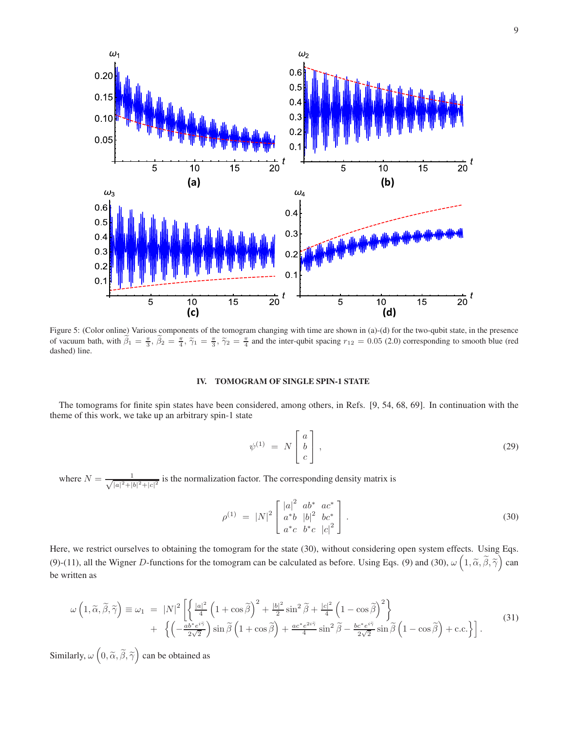

Figure 5: (Color online) Various components of the tomogram changing with time are shown in (a)-(d) for the two-qubit state, in the presence of vacuum bath, with  $\tilde{\beta}_1 = \frac{\pi}{3}, \tilde{\beta}_2 = \frac{\pi}{4}, \tilde{\gamma}_1 = \frac{\pi}{3}, \tilde{\gamma}_2 = \frac{\pi}{4}$  and the inter-qubit spacing  $r_{12} = 0.05$  (2.0) corresponding to smooth blue (red dashed) line.

# **IV. TOMOGRAM OF SINGLE SPIN-1 STATE**

The tomograms for finite spin states have been considered, among others, in Refs. [9, 54, 68, 69]. In continuation with the theme of this work, we take up an arbitrary spin-1 state

$$
\psi^{(1)} = N \begin{bmatrix} a \\ b \\ c \end{bmatrix}, \tag{29}
$$

where  $N = \frac{1}{\sqrt{|a|^2 + 1}}$  $\frac{1}{|a|^2+|b|^2+|c|^2}$  is the normalization factor. The corresponding density matrix is

$$
\rho^{(1)} = |N|^2 \begin{bmatrix} |a|^2 & ab^* & ac^* \\ a^*b & |b|^2 & bc^* \\ a^*c & b^*c & |c|^2 \end{bmatrix} . \tag{30}
$$

Here, we restrict ourselves to obtaining the tomogram for the state (30), without considering open system effects. Using Eqs. (9)-(11), all the Wigner D-functions for the tomogram can be calculated as before. Using Eqs. (9) and (30),  $\omega\left(1, \tilde{\alpha}, \tilde{\beta}, \tilde{\gamma}\right)$  can be written as

$$
\omega\left(1,\widetilde{\alpha},\widetilde{\beta},\widetilde{\gamma}\right) \equiv \omega_1 = |N|^2 \left[ \left\{ \frac{|a|^2}{4} \left(1 + \cos\widetilde{\beta}\right)^2 + \frac{|b|^2}{2} \sin^2\widetilde{\beta} + \frac{|c|^2}{4} \left(1 - \cos\widetilde{\beta}\right)^2 \right\} + \left\{ \left(-\frac{ab^*e^{i\widetilde{\gamma}}}{2\sqrt{2}}\right) \sin\widetilde{\beta} \left(1 + \cos\widetilde{\beta}\right) + \frac{ac^*e^{2i\widetilde{\gamma}}}{4} \sin^2\widetilde{\beta} - \frac{bc^*e^{i\widetilde{\gamma}}}{2\sqrt{2}} \sin\widetilde{\beta} \left(1 - \cos\widetilde{\beta}\right) + \text{c.c.} \right\} \right].
$$
\n(31)

Similarly,  $\omega\left(0, \widetilde{\alpha}, \widetilde{\beta}, \widetilde{\gamma}\right)$  can be obtained as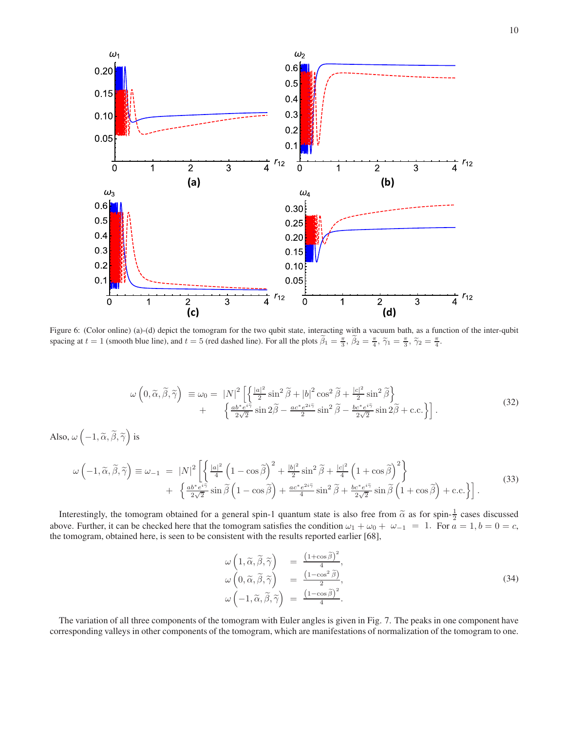

Figure 6: (Color online) (a)-(d) depict the tomogram for the two qubit state, interacting with a vacuum bath, as a function of the inter-qubit spacing at  $t = 1$  (smooth blue line), and  $t = 5$  (red dashed line). For all the plots  $\tilde{\beta}_1 = \frac{\pi}{3}$ ,  $\tilde{\beta}_2 = \frac{\pi}{4}$ ,  $\tilde{\gamma}_1 = \frac{\pi}{3}$ ,  $\tilde{\gamma}_2 = \frac{\pi}{4}$ .

$$
\omega\left(0,\widetilde{\alpha},\widetilde{\beta},\widetilde{\gamma}\right) \equiv \omega_0 = |N|^2 \left[ \left\{ \frac{|a|^2}{2}\sin^2\widetilde{\beta} + |b|^2\cos^2\widetilde{\beta} + \frac{|c|^2}{2}\sin^2\widetilde{\beta} \right\} + \left\{ \frac{ab^*e^{i\widetilde{\gamma}}}{2\sqrt{2}}\sin 2\widetilde{\beta} - \frac{ac^*e^{2i\widetilde{\gamma}}}{2}\sin^2\widetilde{\beta} - \frac{bc^*e^{i\widetilde{\gamma}}}{2\sqrt{2}}\sin 2\widetilde{\beta} + \text{c.c.} \right\} \right].
$$
\n(32)

Also,  $\omega\left(-1, \widetilde{\alpha}, \widetilde{\beta}, \widetilde{\gamma}\right)$  is

$$
\omega \left( -1, \tilde{\alpha}, \tilde{\beta}, \tilde{\gamma} \right) \equiv \omega_{-1} = |N|^2 \left[ \left\{ \frac{|a|^2}{4} \left( 1 - \cos \tilde{\beta} \right)^2 + \frac{|b|^2}{2} \sin^2 \tilde{\beta} + \frac{|c|^2}{4} \left( 1 + \cos \tilde{\beta} \right)^2 \right\} + \left\{ \frac{a b^* e^{i\tilde{\gamma}}}{2\sqrt{2}} \sin \tilde{\beta} \left( 1 - \cos \tilde{\beta} \right) + \frac{a c^* e^{2i\tilde{\gamma}}}{4} \sin^2 \tilde{\beta} + \frac{b c^* e^{i\tilde{\gamma}}}{2\sqrt{2}} \sin \tilde{\beta} \left( 1 + \cos \tilde{\beta} \right) + \text{c.c.} \right] \right].
$$
\n(33)

Interestingly, the tomogram obtained for a general spin-1 quantum state is also free from  $\tilde{\alpha}$  as for spin- $\frac{1}{2}$  cases discussed above. Further, it can be checked here that the tomogram satisfies the condition  $\omega_1 + \omega_0 + \omega_{-1} = 1$ . For  $a = 1, b = 0 = c$ , the tomogram, obtained here, is seen to be consistent with the results reported earlier [68],

$$
\begin{array}{rcl}\n\omega \left(1, \widetilde{\alpha}, \widetilde{\beta}, \widetilde{\gamma}\right) & = & \frac{\left(1 + \cos \widetilde{\beta}\right)^2}{4}, \\
\omega \left(0, \widetilde{\alpha}, \widetilde{\beta}, \widetilde{\gamma}\right) & = & \frac{\left(1 - \cos^2 \widetilde{\beta}\right)}{2}, \\
\omega \left(-1, \widetilde{\alpha}, \widetilde{\beta}, \widetilde{\gamma}\right) & = & \frac{\left(1 - \cos \widetilde{\beta}\right)^2}{4}.\n\end{array} \tag{34}
$$

The variation of all three components of the tomogram with Euler angles is given in Fig. 7. The peaks in one component have corresponding valleys in other components of the tomogram, which are manifestations of normalization of the tomogram to one.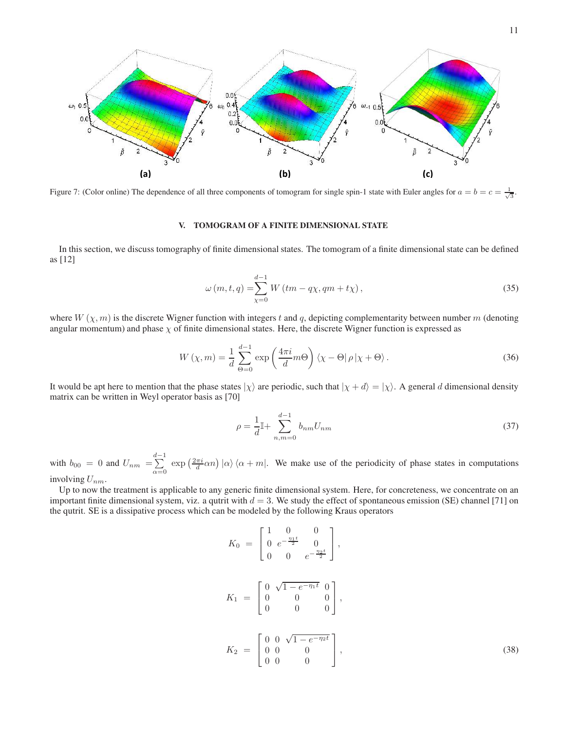

Figure 7: (Color online) The dependence of all three components of tomogram for single spin-1 state with Euler angles for  $a = b = c = \frac{1}{\sqrt{3}}$ .

## **V. TOMOGRAM OF A FINITE DIMENSIONAL STATE**

In this section, we discuss tomography of finite dimensional states. The tomogram of a finite dimensional state can be defined as [12]

$$
\omega(m, t, q) = \sum_{\chi=0}^{d-1} W\left(tm - q\chi, qm + t\chi\right),\tag{35}
$$

where  $W(\chi, m)$  is the discrete Wigner function with integers t and q, depicting complementarity between number m (denoting angular momentum) and phase  $\chi$  of finite dimensional states. Here, the discrete Wigner function is expressed as

$$
W(\chi, m) = \frac{1}{d} \sum_{\Theta=0}^{d-1} \exp\left(\frac{4\pi i}{d} m\Theta\right) \langle \chi - \Theta | \rho | \chi + \Theta \rangle.
$$
 (36)

It would be apt here to mention that the phase states  $|\chi\rangle$  are periodic, such that  $|\chi + d\rangle = |\chi\rangle$ . A general d dimensional density matrix can be written in Weyl operator basis as [70]

$$
\rho = \frac{1}{d} \mathbb{I} + \sum_{n,m=0}^{d-1} b_{nm} U_{nm} \tag{37}
$$

with  $b_{00} = 0$  and  $U_{nm} = \sum_{ }^{d-1}$  $\sum_{\alpha=0}^{\infty}$  exp  $\left(\frac{2\pi i}{d}\alpha n\right)|\alpha\rangle\langle\alpha+m|$ . We make use of the periodicity of phase states in computations involving  $U_{nm}$ .

Up to now the treatment is applicable to any generic finite dimensional system. Here, for concreteness, we concentrate on an important finite dimensional system, viz. a qutrit with  $d = 3$ . We study the effect of spontaneous emission (SE) channel [71] on the qutrit. SE is a dissipative process which can be modeled by the following Kraus operators

$$
K_0 = \begin{bmatrix} 1 & 0 & 0 \\ 0 & e^{-\frac{\eta_1 t}{2}} & 0 \\ 0 & 0 & e^{-\frac{\eta_2 t}{2}} \end{bmatrix},
$$
  
\n
$$
K_1 = \begin{bmatrix} 0 & \sqrt{1 - e^{-\eta_1 t}} & 0 \\ 0 & 0 & 0 \\ 0 & 0 & 0 \end{bmatrix},
$$
  
\n
$$
K_2 = \begin{bmatrix} 0 & 0 & \sqrt{1 - e^{-\eta_2 t}} \\ 0 & 0 & 0 \\ 0 & 0 & 0 \end{bmatrix},
$$
\n(38)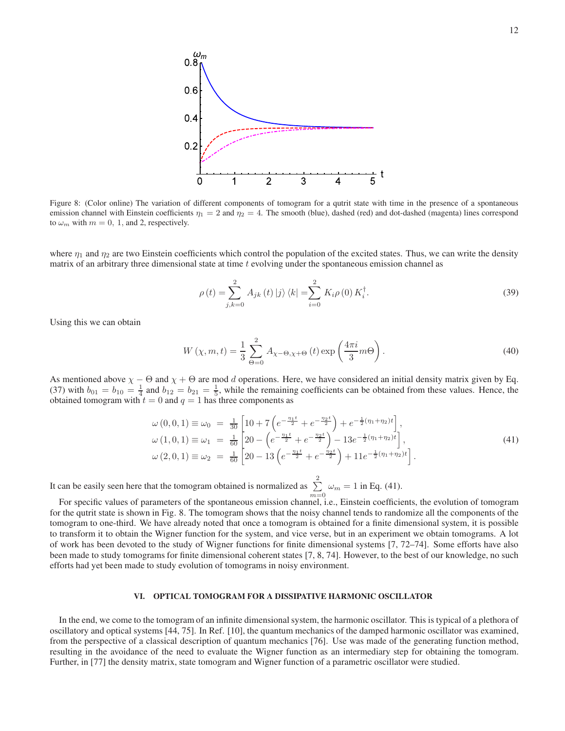

Figure 8: (Color online) The variation of different components of tomogram for a qutrit state with time in the presence of a spontaneous emission channel with Einstein coefficients  $\eta_1 = 2$  and  $\eta_2 = 4$ . The smooth (blue), dashed (red) and dot-dashed (magenta) lines correspond to  $\omega_m$  with  $m = 0, 1$ , and 2, respectively.

where  $\eta_1$  and  $\eta_2$  are two Einstein coefficients which control the population of the excited states. Thus, we can write the density matrix of an arbitrary three dimensional state at time  $t$  evolving under the spontaneous emission channel as

$$
\rho(t) = \sum_{j,k=0}^{2} A_{jk}(t) |j\rangle \langle k| = \sum_{i=0}^{2} K_i \rho(0) K_i^{\dagger}.
$$
\n(39)

Using this we can obtain

$$
W(\chi, m, t) = \frac{1}{3} \sum_{\Theta=0}^{2} A_{\chi-\Theta,\chi+\Theta}(t) \exp\left(\frac{4\pi i}{3}m\Theta\right).
$$
 (40)

As mentioned above  $\chi$  −  $\Theta$  and  $\chi$  +  $\Theta$  are mod d operations. Here, we have considered an initial density matrix given by Eq. (37) with  $b_{01} = b_{10} = \frac{1}{4}$  and  $b_{12} = b_{21} = \frac{1}{5}$ , while the remaining coefficients can be obtained from these values. Hence, the obtained tomogram with  $t = 0$  and  $q = 1$  has three components as

$$
\omega(0,0,1) \equiv \omega_0 = \frac{1}{30} \left[ 10 + 7 \left( e^{-\frac{\eta_1 t}{2}} + e^{-\frac{\eta_2 t}{2}} \right) + e^{-\frac{1}{2} (\eta_1 + \eta_2) t} \right],
$$
  
\n
$$
\omega(1,0,1) \equiv \omega_1 = \frac{1}{60} \left[ 20 - \left( e^{-\frac{\eta_1 t}{2}} + e^{-\frac{\eta_2 t}{2}} \right) - 13 e^{-\frac{1}{2} (\eta_1 + \eta_2) t} \right],
$$
  
\n
$$
\omega(2,0,1) \equiv \omega_2 = \frac{1}{60} \left[ 20 - 13 \left( e^{-\frac{\eta_1 t}{2}} + e^{-\frac{\eta_2 t}{2}} \right) + 11 e^{-\frac{1}{2} (\eta_1 + \eta_2) t} \right].
$$
\n(41)

It can be easily seen here that the tomogram obtained is normalized as  $\sum_{n=1}^{\infty}$  $\sum_{m=0} \omega_m = 1$  in Eq. (41).

For specific values of parameters of the spontaneous emission channel, i.e., Einstein coefficients, the evolution of tomogram for the qutrit state is shown in Fig. 8. The tomogram shows that the noisy channel tends to randomize all the components of the tomogram to one-third. We have already noted that once a tomogram is obtained for a finite dimensional system, it is possible to transform it to obtain the Wigner function for the system, and vice verse, but in an experiment we obtain tomograms. A lot of work has been devoted to the study of Wigner functions for finite dimensional systems [7, 72–74]. Some efforts have also been made to study tomograms for finite dimensional coherent states [7, 8, 74]. However, to the best of our knowledge, no such efforts had yet been made to study evolution of tomograms in noisy environment.

#### **VI. OPTICAL TOMOGRAM FOR A DISSIPATIVE HARMONIC OSCILLATOR**

In the end, we come to the tomogram of an infinite dimensional system, the harmonic oscillator. This is typical of a plethora of oscillatory and optical systems [44, 75]. In Ref. [10], the quantum mechanics of the damped harmonic oscillator was examined, from the perspective of a classical description of quantum mechanics [76]. Use was made of the generating function method, resulting in the avoidance of the need to evaluate the Wigner function as an intermediary step for obtaining the tomogram. Further, in [77] the density matrix, state tomogram and Wigner function of a parametric oscillator were studied.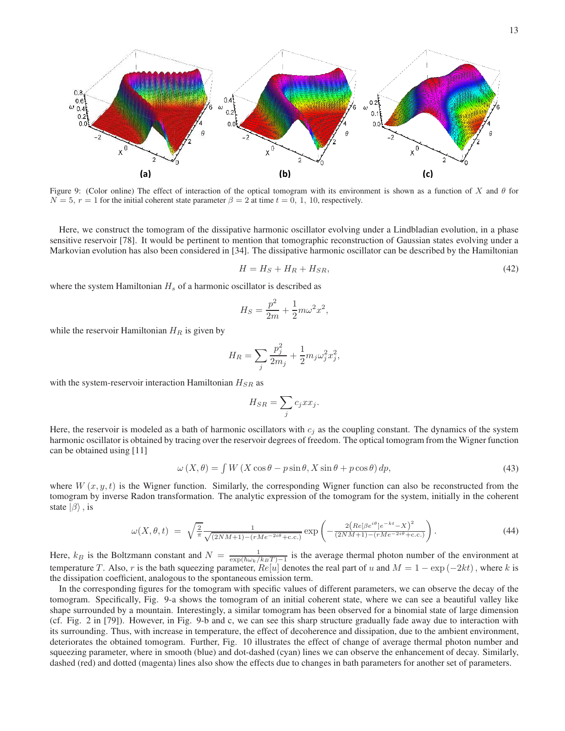$0.8$  $\bigcap$   $\bigcap$  $0.2$ Ф  $\Omega$ Ω.  $0<sub>1</sub>$  $\Omega$  $x^0$  $(a)$  $\left( \text{b} \right)$  (b) (c)

Figure 9: (Color online) The effect of interaction of the optical tomogram with its environment is shown as a function of X and  $\theta$  for  $N = 5$ ,  $r = 1$  for the initial coherent state parameter  $\beta = 2$  at time  $t = 0, 1, 10$ , respectively.

Here, we construct the tomogram of the dissipative harmonic oscillator evolving under a Lindbladian evolution, in a phase sensitive reservoir [78]. It would be pertinent to mention that tomographic reconstruction of Gaussian states evolving under a Markovian evolution has also been considered in [34]. The dissipative harmonic oscillator can be described by the Hamiltonian

$$
H = H_S + H_R + H_{SR},\tag{42}
$$

where the system Hamiltonian  $H_s$  of a harmonic oscillator is described as

$$
H_S = \frac{p^2}{2m} + \frac{1}{2}m\omega^2 x^2,
$$

while the reservoir Hamiltonian  $H_R$  is given by

$$
H_R = \sum_j \frac{p_j^2}{2m_j} + \frac{1}{2} m_j \omega_j^2 x_j^2,
$$

with the system-reservoir interaction Hamiltonian  $H_{SR}$  as

$$
H_{SR} = \sum_j c_j x x_j.
$$

Here, the reservoir is modeled as a bath of harmonic oscillators with  $c_j$  as the coupling constant. The dynamics of the system harmonic oscillator is obtained by tracing over the reservoir degrees of freedom. The optical tomogram from the Wigner function can be obtained using [11]

$$
\omega\left(X,\theta\right) = \int W\left(X\cos\theta - p\sin\theta, X\sin\theta + p\cos\theta\right)dp,\tag{43}
$$

where  $W(x, y, t)$  is the Wigner function. Similarly, the corresponding Wigner function can also be reconstructed from the tomogram by inverse Radon transformation. The analytic expression of the tomogram for the system, initially in the coherent state  $|\beta\rangle$ , is

$$
\omega(X,\theta,t) = \sqrt{\frac{2}{\pi}} \frac{1}{\sqrt{(2NM+1) - (rMe^{-2i\theta} + c.c.)}} \exp\left(-\frac{2\left(Re[\beta e^{i\theta}]e^{-kt} - X\right)^2}{(2NM+1) - (rMe^{-2i\theta} + c.c.)}\right). \tag{44}
$$

Here,  $k_B$  is the Boltzmann constant and  $N = \frac{1}{\exp(\hbar \omega_k / k_B T)-1}$  is the average thermal photon number of the environment at temperature T. Also, r is the bath squeezing parameter,  $Re[u]$  denotes the real part of u and  $M = 1 - exp(-2kt)$ , where k is the dissipation coefficient, analogous to the spontaneous emission term.

In the corresponding figures for the tomogram with specific values of different parameters, we can observe the decay of the tomogram. Specifically, Fig. 9-a shows the tomogram of an initial coherent state, where we can see a beautiful valley like shape surrounded by a mountain. Interestingly, a similar tomogram has been observed for a binomial state of large dimension (cf. Fig. 2 in [79]). However, in Fig. 9-b and c, we can see this sharp structure gradually fade away due to interaction with its surrounding. Thus, with increase in temperature, the effect of decoherence and dissipation, due to the ambient environment, deteriorates the obtained tomogram. Further, Fig. 10 illustrates the effect of change of average thermal photon number and squeezing parameter, where in smooth (blue) and dot-dashed (cyan) lines we can observe the enhancement of decay. Similarly, dashed (red) and dotted (magenta) lines also show the effects due to changes in bath parameters for another set of parameters.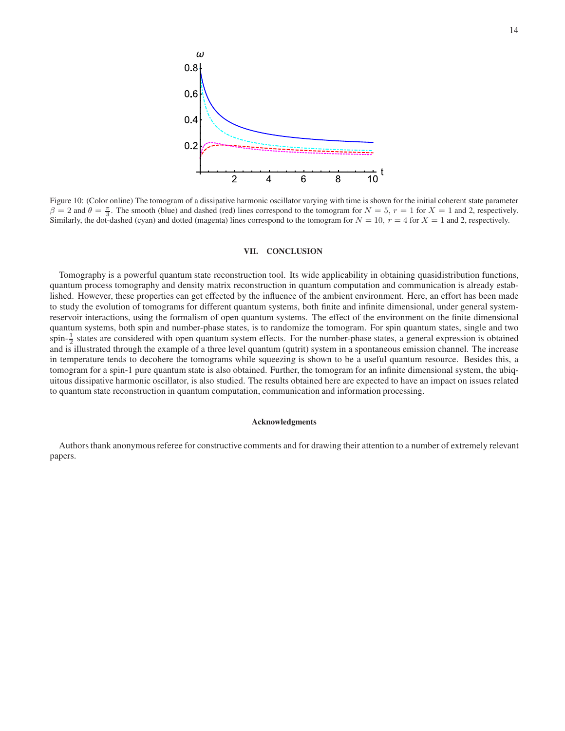

Figure 10: (Color online) The tomogram of a dissipative harmonic oscillator varying with time is shown for the initial coherent state parameter  $\beta = 2$  and  $\theta = \frac{\pi}{3}$ . The smooth (blue) and dashed (red) lines correspond to the tomogram for  $N = 5$ ,  $r = 1$  for  $X = 1$  and 2, respectively. Similarly, the dot-dashed (cyan) and dotted (magenta) lines correspond to the tomogram for  $N = 10$ ,  $r = 4$  for  $X = 1$  and 2, respectively.

### **VII. CONCLUSION**

Tomography is a powerful quantum state reconstruction tool. Its wide applicability in obtaining quasidistribution functions, quantum process tomography and density matrix reconstruction in quantum computation and communication is already established. However, these properties can get effected by the influence of the ambient environment. Here, an effort has been made to study the evolution of tomograms for different quantum systems, both finite and infinite dimensional, under general systemreservoir interactions, using the formalism of open quantum systems. The effect of the environment on the finite dimensional quantum systems, both spin and number-phase states, is to randomize the tomogram. For spin quantum states, single and two spin- $\frac{1}{2}$  states are considered with open quantum system effects. For the number-phase states, a general expression is obtained and is illustrated through the example of a three level quantum (qutrit) system in a spontaneous emission channel. The increase in temperature tends to decohere the tomograms while squeezing is shown to be a useful quantum resource. Besides this, a tomogram for a spin-1 pure quantum state is also obtained. Further, the tomogram for an infinite dimensional system, the ubiquitous dissipative harmonic oscillator, is also studied. The results obtained here are expected to have an impact on issues related to quantum state reconstruction in quantum computation, communication and information processing.

#### **Acknowledgments**

Authors thank anonymous referee for constructive comments and for drawing their attention to a number of extremely relevant papers.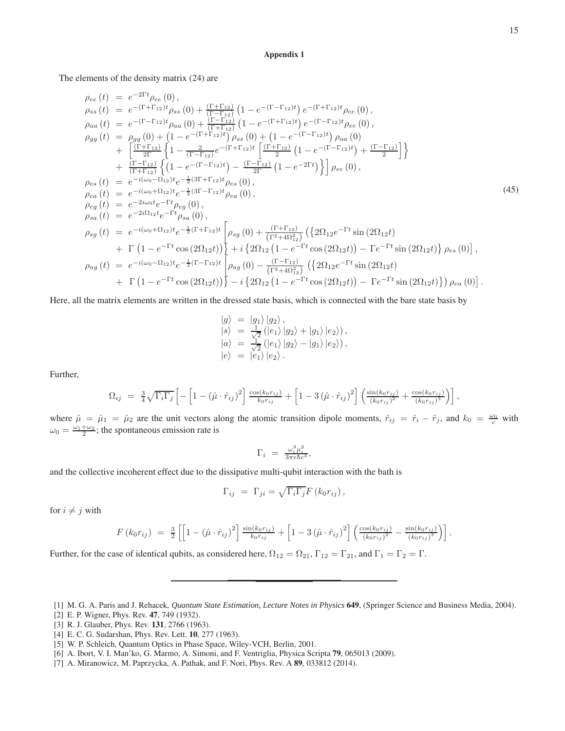## **Appendix 1**

The elements of the density matrix (24) are

$$
\rho_{ee}(t) = e^{-2\Gamma t}\rho_{ee}(0),
$$
\n
$$
\rho_{ss}(t) = e^{-(\Gamma+\Gamma_{12})t}\rho_{ss}(0) + \frac{(\Gamma+\Gamma_{12})}{(\Gamma-\Gamma_{12})}\left(1 - e^{-(\Gamma-\Gamma_{12})t}\right)e^{-(\Gamma+\Gamma_{12})t}\rho_{ee}(0),
$$
\n
$$
\rho_{aa}(t) = e^{-(\Gamma-\Gamma_{12})t}\rho_{aa}(0) + \frac{(\Gamma-\Gamma_{12})}{(\Gamma+\Gamma_{12})t}\left(1 - e^{-(\Gamma+\Gamma_{12})t}\right)e^{-(\Gamma-\Gamma_{12})t}\rho_{ee}(0),
$$
\n
$$
\rho_{gg}(t) = \rho_{gg}(0) + \left(1 - e^{-(\Gamma+\Gamma_{12})t}\right)\rho_{ss}(0) + \left(1 - e^{-(\Gamma-\Gamma_{12})t}\right)\rho_{aa}(0)
$$
\n
$$
+ \left[\frac{(\Gamma+\Gamma_{12})}{2\Gamma}\left\{1 - \frac{2}{(\Gamma-\Gamma_{12})}e^{-(\Gamma+\Gamma_{12})t}\left[\frac{(\Gamma+\Gamma_{12})}{2}\left(1 - e^{-(\Gamma-\Gamma_{12})t}\right) + \frac{(\Gamma-\Gamma_{12})}{2}\right]\right\}
$$
\n
$$
+ \frac{(\Gamma-\Gamma_{12})}{(\Gamma+\Gamma_{12})}\left\{\left(1 - e^{-(\Gamma-\Gamma_{12})t}\right) - \frac{(\Gamma-\Gamma_{12})}{2\Gamma}\left(1 - e^{-2\Gamma t}\right)\right\}\rho_{ee}(0),
$$
\n
$$
\rho_{es}(t) = e^{-i(\omega_0-\Omega_{12})t}e^{-\frac{1}{2}(3\Gamma-\Gamma_{12})t}\rho_{es}(0),
$$
\n
$$
\rho_{eg}(t) = e^{-i(\omega_0+\Omega_{12})t}e^{-\frac{1}{2}(3\Gamma-\Gamma_{12})t}\rho_{ea}(0),
$$
\n
$$
\rho_{sg}(t) = e^{-2i\Omega_{12}t}e^{-\Gamma t}\rho_{sg}(0),
$$
\n
$$
\rho_{sg}(t) = e^{-i(\omega_0+\Omega_{12})t}e^{-\frac{1}{2}(\Gamma+\Gamma_{12})t}\left[\rho_{sg}(0) + \frac{(\Gamma+\Gamma_{12})}{(\Gamma^2+4\Omega_{12}^2)}\left(\frac{2\Omega_{12}e^{-\Gamma t}\sin(
$$

Here, all the matrix elements are written in the dressed state basis, which is connected with the bare state basis by

$$
\begin{array}{rcl}\n|g\rangle &=& |g_1\rangle |g_2\rangle \,, \\
|s\rangle &=& \frac{1}{\sqrt{2}} \left( |e_1\rangle |g_2\rangle + |g_1\rangle |e_2\rangle \right), \\
|a\rangle &=& \frac{1}{\sqrt{2}} \left( |e_1\rangle |g_2\rangle - |g_1\rangle |e_2\rangle \right), \\
|e\rangle &=& |e_1\rangle |e_2\rangle \,.\n\end{array}
$$

Further,

$$
\Omega_{ij} = \frac{3}{4} \sqrt{\Gamma_i \Gamma_j} \left[ -\left[ 1 - (\hat{\mu} \cdot \hat{r}_{ij})^2 \right] \frac{\cos(k_0 r_{ij})}{k_0 r_{ij}} + \left[ 1 - 3 \left( \hat{\mu} \cdot \hat{r}_{ij} \right)^2 \right] \left( \frac{\sin(k_0 r_{ij})}{(k_0 r_{ij})^2} + \frac{\cos(k_0 r_{ij})}{(k_0 r_{ij})^3} \right) \right],
$$

where  $\hat{\mu} = \hat{\mu}_1 = \hat{\mu}_2$  are the unit vectors along the atomic transition dipole moments,  $\hat{r}_{ij} = \hat{r}_i - \hat{r}_j$ , and  $k_0 = \frac{\omega_0}{c}$  with  $\omega_0 = \frac{\omega_1 + \omega_2}{2}$ ; the spontaneous emission rate is

$$
\Gamma_i \ = \ \frac{\omega_i^3 \mu_i^2}{3 \pi \epsilon \hbar c^3},
$$

and the collective incoherent effect due to the dissipative multi-qubit interaction with the bath is

$$
\Gamma_{ij} = \Gamma_{ji} = \sqrt{\Gamma_i \Gamma_j} F(k_0 r_{ij}),
$$

for  $i \neq j$  with

$$
F(k_0 r_{ij}) = \frac{3}{2} \left[ \left[ 1 - (\hat{\mu} \cdot \hat{r}_{ij})^2 \right] \frac{\sin(k_0 r_{ij})}{k_0 r_{ij}} + \left[ 1 - 3 \left( \hat{\mu} \cdot \hat{r}_{ij} \right)^2 \right] \left( \frac{\cos(k_0 r_{ij})}{(k_0 r_{ij})^2} - \frac{\sin(k_0 r_{ij})}{(k_0 r_{ij})^3} \right) \right].
$$

Further, for the case of identical qubits, as considered here,  $\Omega_{12} = \Omega_{21}$ ,  $\Gamma_{12} = \Gamma_{21}$ , and  $\Gamma_1 = \Gamma_2 = \Gamma$ .

- [2] E. P. Wigner, Phys. Rev. **47**, 749 (1932).
- [3] R. J. Glauber, Phys. Rev. **131**, 2766 (1963).
- [4] E. C. G. Sudarshan, Phys. Rev. Lett. **10**, 277 (1963).
- [5] W. P. Schleich, Quantum Optics in Phase Space, Wiley-VCH, Berlin, 2001.
- [6] A. Ibort, V. I. Man'ko, G. Marmo, A. Simoni, and F. Ventriglia, Physica Scripta **79**, 065013 (2009).
- [7] A. Miranowicz, M. Paprzycka, A. Pathak, and F. Nori, Phys. Rev. A **89**, 033812 (2014).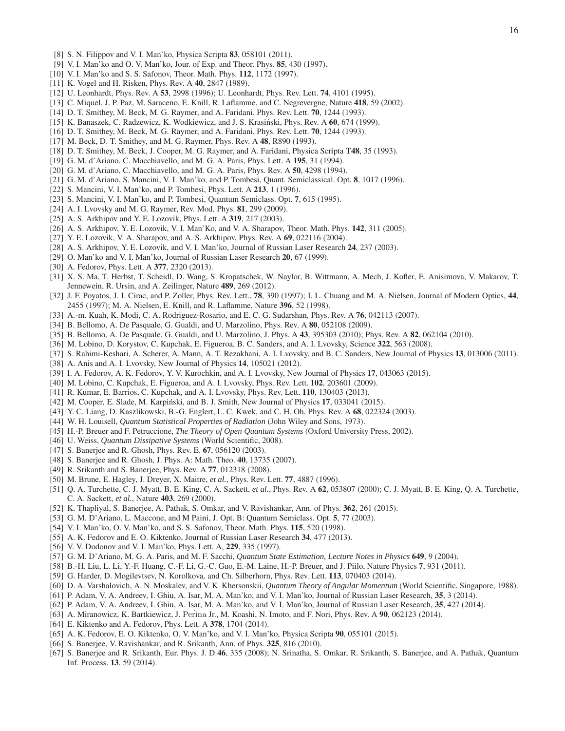- [8] S. N. Filippov and V. I. Man'ko, Physica Scripta **83**, 058101 (2011).
- [9] V. I. Man'ko and O. V. Man'ko, Jour. of Exp. and Theor. Phys. **85**, 430 (1997).
- [10] V. I. Man'ko and S. S. Safonov, Theor. Math. Phys. **112**, 1172 (1997).
- [11] K. Vogel and H. Risken, Phys. Rev. A **40**, 2847 (1989).
- [12] U. Leonhardt, Phys. Rev. A **53**, 2998 (1996); U. Leonhardt, Phys. Rev. Lett. **74**, 4101 (1995).
- [13] C. Miquel, J. P. Paz, M. Saraceno, E. Knill, R. Laflamme, and C. Negrevergne, Nature **418**, 59 (2002).
- [14] D. T. Smithey, M. Beck, M. G. Raymer, and A. Faridani, Phys. Rev. Lett. **70**, 1244 (1993).
- [15] K. Banaszek, C. Radzewicz, K. Wodkiewicz, and J. S. Krasiński, Phys. Rev. A 60, 674 (1999).
- [16] D. T. Smithey, M. Beck, M. G. Raymer, and A. Faridani, Phys. Rev. Lett. **70**, 1244 (1993).
- [17] M. Beck, D. T. Smithey, and M. G. Raymer, Phys. Rev. A **48**, R890 (1993).
- [18] D. T. Smithey, M. Beck, J. Cooper, M. G. Raymer, and A. Faridani, Physica Scripta **T48**, 35 (1993).
- [19] G. M. d'Ariano, C. Macchiavello, and M. G. A. Paris, Phys. Lett. A **195**, 31 (1994).
- [20] G. M. d'Ariano, C. Macchiavello, and M. G. A. Paris, Phys. Rev. A **50**, 4298 (1994).
- [21] G. M. d'Ariano, S. Mancini, V. I. Man'ko, and P. Tombesi, Quant. Semiclassical. Opt. **8**, 1017 (1996).
- [22] S. Mancini, V. I. Man'ko, and P. Tombesi, Phys. Lett. A **213**, 1 (1996).
- [23] S. Mancini, V. I. Man'ko, and P. Tombesi, Quantum Semiclass. Opt. **7**, 615 (1995).
- [24] A. I. Lvovsky and M. G. Raymer, Rev. Mod. Phys. **81**, 299 (2009).
- [25] A. S. Arkhipov and Y. E. Lozovik, Phys. Lett. A **319**, 217 (2003).
- [26] A. S. Arkhipov, Y. E. Lozovik, V. I. Man'Ko, and V. A. Sharapov, Theor. Math. Phys. **142**, 311 (2005).
- [27] Y. E. Lozovik, V. A. Sharapov, and A. S. Arkhipov, Phys. Rev. A **69**, 022116 (2004).
- [28] A. S. Arkhipov, Y. E. Lozovik, and V. I. Man'ko, Journal of Russian Laser Research **24**, 237 (2003).
- [29] O. Man'ko and V. I. Man'ko, Journal of Russian Laser Research **20**, 67 (1999).
- [30] A. Fedorov, Phys. Lett. A **377**, 2320 (2013).
- [31] X. S. Ma, T. Herbst, T. Scheidl, D. Wang, S. Kropatschek, W. Naylor, B. Wittmann, A. Mech, J. Kofler, E. Anisimova, V. Makarov, T. Jennewein, R. Ursin, and A. Zeilinger, Nature **489**, 269 (2012).
- [32] J. F. Poyatos, J. I. Cirac, and P. Zoller, Phys. Rev. Lett., **78**, 390 (1997); I. L. Chuang and M. A. Nielsen, Journal of Modern Optics, **44**, 2455 (1997); M. A. Nielsen, E. Knill, and R. Laflamme, Nature **396**, 52 (1998).
- [33] A.-m. Kuah, K. Modi, C. A. Rodriguez-Rosario, and E. C. G. Sudarshan, Phys. Rev. A **76**, 042113 (2007).
- [34] B. Bellomo, A. De Pasquale, G. Gualdi, and U. Marzolino, Phys. Rev. A **80**, 052108 (2009).
- [35] B. Bellomo, A. De Pasquale, G. Gualdi, and U. Marzolino, J. Phys. A **43**, 395303 (2010); Phys. Rev. A **82**, 062104 (2010).
- [36] M. Lobino, D. Korystov, C. Kupchak, E. Figueroa, B. C. Sanders, and A. I. Lvovsky, Science **322**, 563 (2008).
- [37] S. Rahimi-Keshari, A. Scherer, A. Mann, A. T. Rezakhani, A. I. Lvovsky, and B. C. Sanders, New Journal of Physics **13**, 013006 (2011).
- [38] A. Anis and A. I. Lvovsky, New Journal of Physics **14**, 105021 (2012).
- [39] I. A. Fedorov, A. K. Fedorov, Y. V. Kurochkin, and A. I. Lvovsky, New Journal of Physics **17**, 043063 (2015).
- [40] M. Lobino, C. Kupchak, E. Figueroa, and A. I. Lvovsky, Phys. Rev. Lett. **102**, 203601 (2009).
- [41] R. Kumar, E. Barrios, C. Kupchak, and A. I. Lvovsky, Phys. Rev. Lett. **110**, 130403 (2013).
- [42] M. Cooper, E. Slade, M. Karpiński, and B. J. Smith, New Journal of Physics 17, 033041 (2015).
- [43] Y. C. Liang, D. Kaszlikowski, B.-G. Englert, L. C. Kwek, and C. H. Oh, Phys. Rev. A **68**, 022324 (2003).
- [44] W. H. Louisell, *Quantum Statistical Properties of Radiation* (John Wiley and Sons, 1973).
- [45] H.-P. Breuer and F. Petruccione, *The Theory of Open Quantum Systems* (Oxford University Press, 2002).
- [46] U. Weiss, *Quantum Dissipative Systems* (World Scientific, 2008).
- [47] S. Banerjee and R. Ghosh, Phys. Rev. E. **67**, 056120 (2003).
- [48] S. Banerjee and R. Ghosh, J. Phys. A: Math. Theo. **40**, 13735 (2007).
- [49] R. Srikanth and S. Banerjee, Phys. Rev. A **77**, 012318 (2008).
- [50] M. Brune, E. Hagley, J. Dreyer, X. Maitre, *et al.*, Phys. Rev. Lett. **77**, 4887 (1996).
- [51] Q. A. Turchette, C. J. Myatt, B. E. King, C. A. Sackett, *et al.*, Phys. Rev. A **62**, 053807 (2000); C. J. Myatt, B. E. King, Q. A. Turchette, C. A. Sackett, *et al.*, Nature **403**, 269 (2000).
- [52] K. Thapliyal, S. Banerjee, A. Pathak, S. Omkar, and V. Ravishankar, Ann. of Phys. **362**, 261 (2015).
- [53] G. M. D'Ariano, L. Maccone, and M Paini, J. Opt. B: Quantum Semiclass. Opt. **5**, 77 (2003).
- [54] V. I. Man'ko, O. V. Man'ko, and S. S. Safonov, Theor. Math. Phys. **115**, 520 (1998).
- [55] A. K. Fedorov and E. O. Kiktenko, Journal of Russian Laser Research **34**, 477 (2013).
- [56] V. V. Dodonov and V. I. Man'ko, Phys. Lett. A, **229**, 335 (1997).
- [57] G. M. D'Ariano, M. G. A. Paris, and M. F. Sacchi, *Quantum State Estimation, Lecture Notes in Physics* **649**, 9 (2004).
- [58] B.-H. Liu, L. Li, Y.-F. Huang, C.-F. Li, G.-C. Guo, E.-M. Laine, H.-P. Breuer, and J. Piilo, Nature Physics **7**, 931 (2011).
- [59] G. Harder, D. Mogilevtsev, N. Korolkova, and Ch. Silberhorn, Phys. Rev. Lett. **113**, 070403 (2014).
- [60] D. A. Varshalovich, A. N. Moskalev, and V. K. Khersonskii, *Quantum Theory of Angular Momentum* (World Scientific, Singapore, 1988).
- [61] P. Adam, V. A. Andreev, I. Ghiu, A. Isar, M. A. Man'ko, and V. I. Man'ko, Journal of Russian Laser Research, **35**, 3 (2014).
- [62] P. Adam, V. A. Andreev, I. Ghiu, A. Isar, M. A. Man'ko, and V. I. Man'ko, Journal of Russian Laser Research, **35**, 427 (2014).
- [63] A. Miranowicz, K. Bartkiewicz, J. Perina Jr., M. Koashi, N. Imoto, and F. Nori, Phys. Rev. A 90, 062123 (2014).
- [64] E. Kiktenko and A. Fedorov, Phys. Lett. A **378**, 1704 (2014).
- [65] A. K. Fedorov, E. O. Kiktenko, O. V. Man'ko, and V. I. Man'ko, Physica Scripta **90**, 055101 (2015).
- [66] S. Banerjee, V. Ravishankar, and R. Srikanth, Ann. of Phys. **325**, 816 (2010).
- [67] S. Banerjee and R. Srikanth, Eur. Phys. J. D **46**, 335 (2008); N. Srinatha, S. Omkar, R. Srikanth, S. Banerjee, and A. Pathak, Quantum Inf. Process. **13**, 59 (2014).